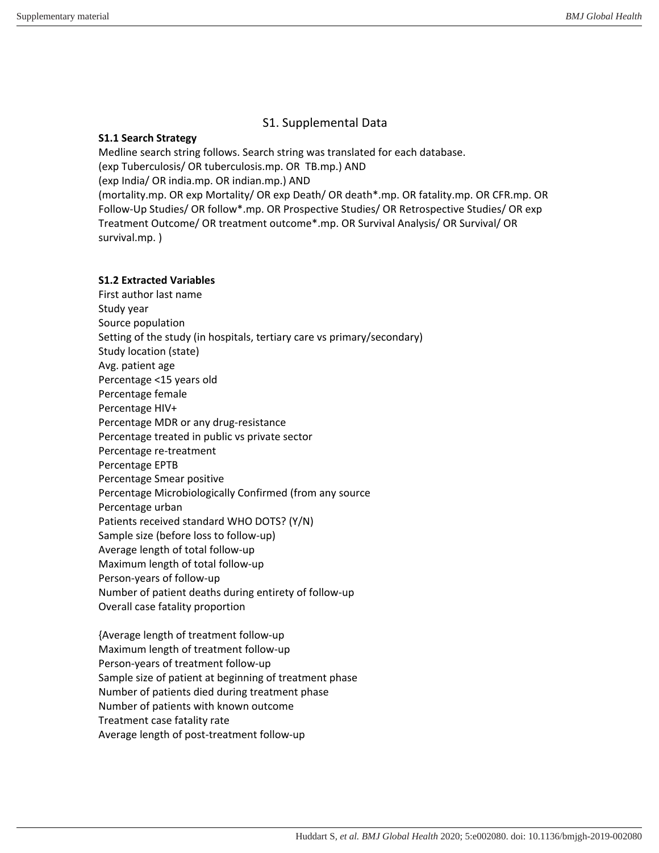# S1. Supplemental Data

## **S1.1 Search Strategy**

Medline search string follows. Search string was translated for each database. (exp Tuberculosis/ OR tuberculosis.mp. OR TB.mp.) AND (exp India/ OR india.mp. OR indian.mp.) AND (mortality.mp. OR exp Mortality/ OR exp Death/ OR death\*.mp. OR fatality.mp. OR CFR.mp. OR Follow-Up Studies/ OR follow\*.mp. OR Prospective Studies/ OR Retrospective Studies/ OR exp Treatment Outcome/ OR treatment outcome\*.mp. OR Survival Analysis/ OR Survival/ OR survival.mp. )

## **S1.2 Extracted Variables**

First author last name Study year Source population Setting of the study (in hospitals, tertiary care vs primary/secondary) Study location (state) Avg. patient age Percentage <15 years old Percentage female Percentage HIV+ Percentage MDR or any drug-resistance Percentage treated in public vs private sector Percentage re-treatment Percentage EPTB Percentage Smear positive Percentage Microbiologically Confirmed (from any source Percentage urban Patients received standard WHO DOTS? (Y/N) Sample size (before loss to follow-up) Average length of total follow-up Maximum length of total follow-up Person-years of follow-up Number of patient deaths during entirety of follow-up Overall case fatality proportion

{Average length of treatment follow-up Maximum length of treatment follow-up Person-years of treatment follow-up Sample size of patient at beginning of treatment phase Number of patients died during treatment phase Number of patients with known outcome Treatment case fatality rate Average length of post-treatment follow-up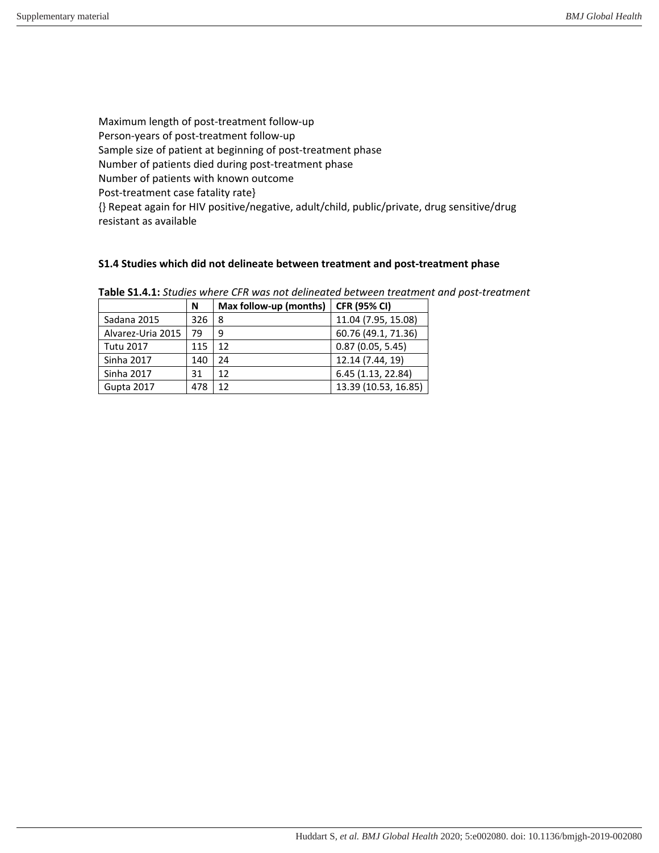Maximum length of post-treatment follow-up Person-years of post-treatment follow-up Sample size of patient at beginning of post-treatment phase Number of patients died during post-treatment phase Number of patients with known outcome Post-treatment case fatality rate} {} Repeat again for HIV positive/negative, adult/child, public/private, drug sensitive/drug resistant as available

## **S1.4 Studies which did not delineate between treatment and post-treatment phase**

|                   | N   | Max follow-up (months) | <b>CFR (95% CI)</b>  |
|-------------------|-----|------------------------|----------------------|
| Sadana 2015       | 326 | 8                      | 11.04 (7.95, 15.08)  |
| Alvarez-Uria 2015 | 79  | 9                      | 60.76 (49.1, 71.36)  |
| <b>Tutu 2017</b>  | 115 | 12                     | 0.87(0.05, 5.45)     |
| <b>Sinha 2017</b> | 140 | 24                     | 12.14 (7.44, 19)     |
| <b>Sinha 2017</b> | 31  | 12                     | 6.45 (1.13, 22.84)   |
| Gupta 2017        | 478 | 12                     | 13.39 (10.53, 16.85) |

**Table S1.4.1:** *Studies where CFR was not delineated between treatment and post-treatment*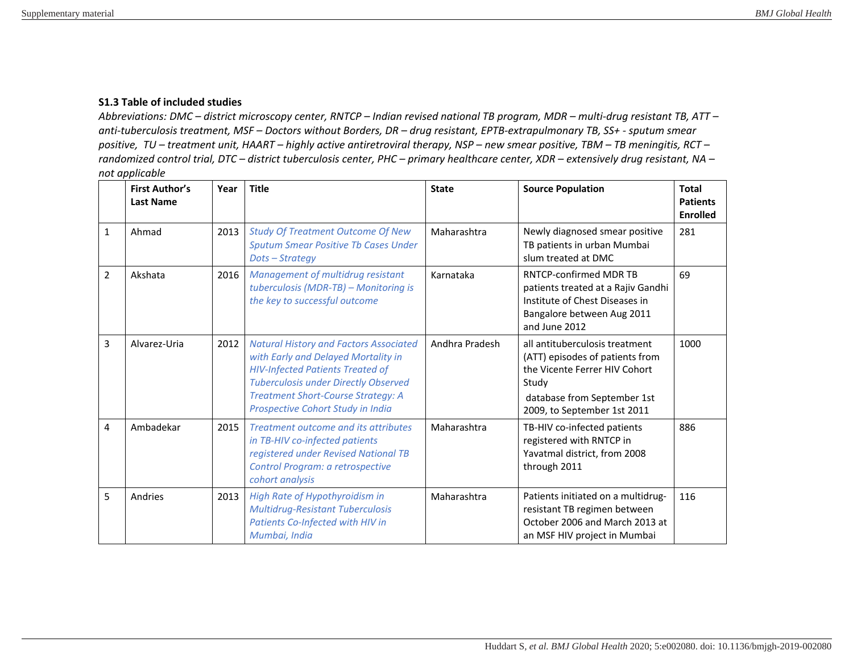## **S1.3 Table of included studies**

*Abbreviations: DMC – district microscopy center, RNTCP – Indian revised national TB program, MDR – multi-drug resistant TB, ATT – anti-tuberculosis treatment, MSF – Doctors without Borders, DR – drug resistant, EPTB-extrapulmonary TB, SS+ - sputum smear positive, TU – treatment unit, HAART – highly active antiretroviral therapy, NSP – new smear positive, TBM – TB meningitis, RCT – randomized control trial, DTC – district tuberculosis center, PHC – primary healthcare center, XDR – extensively drug resistant, NA – not applicable* 

|              | <b>First Author's</b><br><b>Last Name</b> | Year | <b>Title</b>                                                                                                                                                                                                                                                     | <b>State</b>   | <b>Source Population</b>                                                                                                                                                  | <b>Total</b><br><b>Patients</b><br><b>Enrolled</b> |
|--------------|-------------------------------------------|------|------------------------------------------------------------------------------------------------------------------------------------------------------------------------------------------------------------------------------------------------------------------|----------------|---------------------------------------------------------------------------------------------------------------------------------------------------------------------------|----------------------------------------------------|
| $\mathbf{1}$ | Ahmad                                     | 2013 | <b>Study Of Treatment Outcome Of New</b><br><b>Sputum Smear Positive Tb Cases Under</b><br>Dots-Strategy                                                                                                                                                         | Maharashtra    | Newly diagnosed smear positive<br>TB patients in urban Mumbai<br>slum treated at DMC                                                                                      | 281                                                |
| 2            | Akshata                                   | 2016 | Management of multidrug resistant<br>tuberculosis (MDR-TB) - Monitoring is<br>the key to successful outcome                                                                                                                                                      | Karnataka      | RNTCP-confirmed MDR TB<br>patients treated at a Rajiv Gandhi<br>Institute of Chest Diseases in<br>Bangalore between Aug 2011<br>and June 2012                             | 69                                                 |
| 3            | Alvarez-Uria                              | 2012 | <b>Natural History and Factors Associated</b><br>with Early and Delayed Mortality in<br><b>HIV-Infected Patients Treated of</b><br><b>Tuberculosis under Directly Observed</b><br><b>Treatment Short-Course Strategy: A</b><br>Prospective Cohort Study in India | Andhra Pradesh | all antituberculosis treatment<br>(ATT) episodes of patients from<br>the Vicente Ferrer HIV Cohort<br>Study<br>database from September 1st<br>2009, to September 1st 2011 | 1000                                               |
| 4            | Ambadekar                                 | 2015 | Treatment outcome and its attributes<br>in TB-HIV co-infected patients<br>registered under Revised National TB<br>Control Program: a retrospective<br>cohort analysis                                                                                            | Maharashtra    | TB-HIV co-infected patients<br>registered with RNTCP in<br>Yavatmal district, from 2008<br>through 2011                                                                   | 886                                                |
| 5            | Andries                                   | 2013 | High Rate of Hypothyroidism in<br><b>Multidrug-Resistant Tuberculosis</b><br>Patients Co-Infected with HIV in<br>Mumbai, India                                                                                                                                   | Maharashtra    | Patients initiated on a multidrug-<br>resistant TB regimen between<br>October 2006 and March 2013 at<br>an MSF HIV project in Mumbai                                      | 116                                                |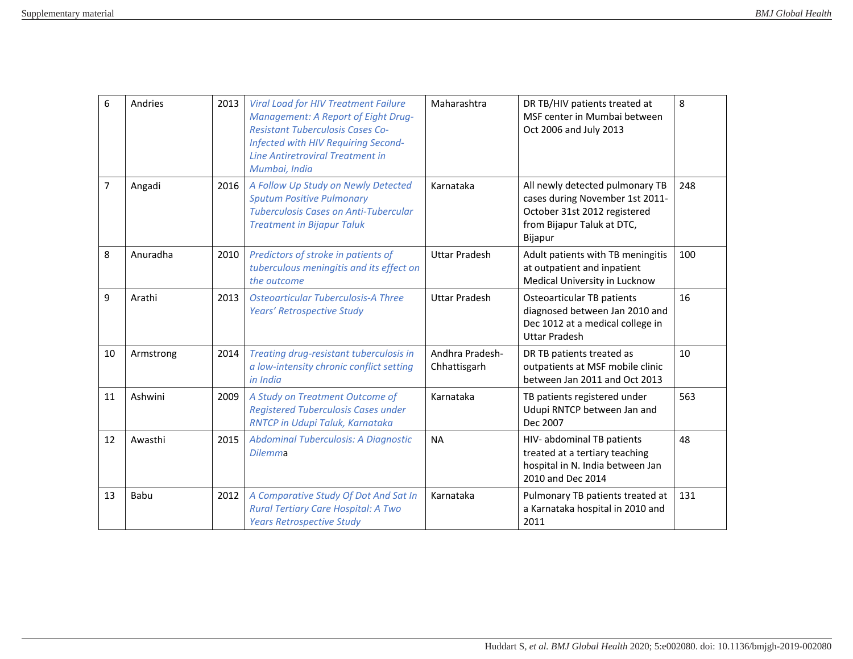| 6  | Andries   | 2013 | <b>Viral Load for HIV Treatment Failure</b><br><b>Management: A Report of Eight Drug-</b><br><b>Resistant Tuberculosis Cases Co-</b><br>Infected with HIV Requiring Second-<br><b>Line Antiretroviral Treatment in</b><br>Mumbai, India | Maharashtra                     | DR TB/HIV patients treated at<br>MSF center in Mumbai between<br>Oct 2006 and July 2013                                                     | 8   |
|----|-----------|------|-----------------------------------------------------------------------------------------------------------------------------------------------------------------------------------------------------------------------------------------|---------------------------------|---------------------------------------------------------------------------------------------------------------------------------------------|-----|
| 7  | Angadi    | 2016 | A Follow Up Study on Newly Detected<br><b>Sputum Positive Pulmonary</b><br><b>Tuberculosis Cases on Anti-Tubercular</b><br><b>Treatment in Bijapur Taluk</b>                                                                            | Karnataka                       | All newly detected pulmonary TB<br>cases during November 1st 2011-<br>October 31st 2012 registered<br>from Bijapur Taluk at DTC,<br>Bijapur | 248 |
| 8  | Anuradha  | 2010 | Predictors of stroke in patients of<br>tuberculous meningitis and its effect on<br>the outcome                                                                                                                                          | <b>Uttar Pradesh</b>            | Adult patients with TB meningitis<br>at outpatient and inpatient<br>Medical University in Lucknow                                           | 100 |
| 9  | Arathi    | 2013 | <b>Osteoarticular Tuberculosis-A Three</b><br>Years' Retrospective Study                                                                                                                                                                | <b>Uttar Pradesh</b>            | Osteoarticular TB patients<br>diagnosed between Jan 2010 and<br>Dec 1012 at a medical college in<br><b>Uttar Pradesh</b>                    | 16  |
| 10 | Armstrong | 2014 | Treating drug-resistant tuberculosis in<br>a low-intensity chronic conflict setting<br>in India                                                                                                                                         | Andhra Pradesh-<br>Chhattisgarh | DR TB patients treated as<br>outpatients at MSF mobile clinic<br>between Jan 2011 and Oct 2013                                              | 10  |
| 11 | Ashwini   | 2009 | A Study on Treatment Outcome of<br><b>Registered Tuberculosis Cases under</b><br>RNTCP in Udupi Taluk, Karnataka                                                                                                                        | Karnataka                       | TB patients registered under<br>Udupi RNTCP between Jan and<br>Dec 2007                                                                     | 563 |
| 12 | Awasthi   | 2015 | Abdominal Tuberculosis: A Diagnostic<br><b>Dilemma</b>                                                                                                                                                                                  | <b>NA</b>                       | HIV- abdominal TB patients<br>treated at a tertiary teaching<br>hospital in N. India between Jan<br>2010 and Dec 2014                       | 48  |
| 13 | Babu      | 2012 | A Comparative Study Of Dot And Sat In<br>Rural Tertiary Care Hospital: A Two<br><b>Years Retrospective Study</b>                                                                                                                        | Karnataka                       | Pulmonary TB patients treated at<br>a Karnataka hospital in 2010 and<br>2011                                                                | 131 |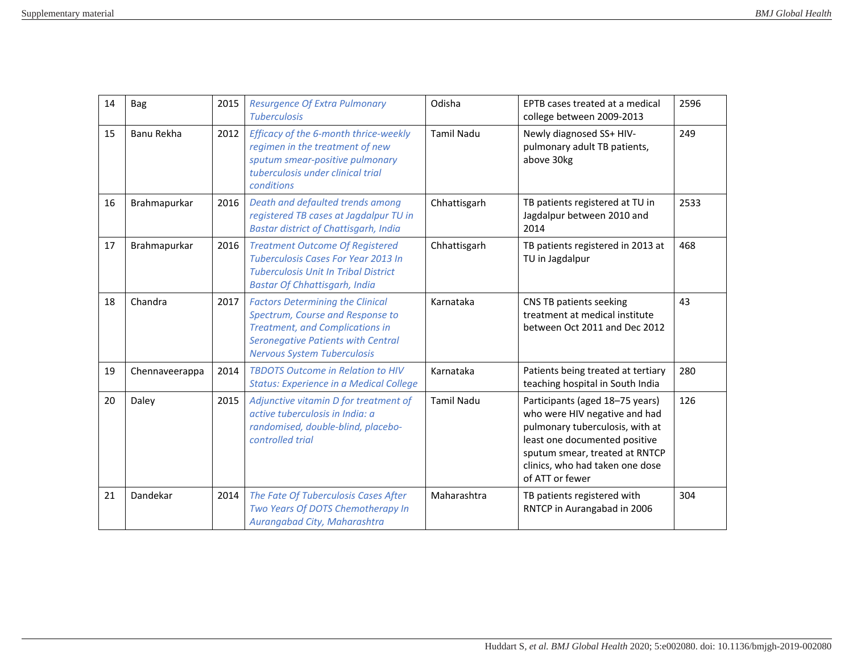| 14 | Bag            | 2015 | <b>Resurgence Of Extra Pulmonary</b><br><b>Tuberculosis</b>                                                                                                                                              | Odisha            | EPTB cases treated at a medical<br>college between 2009-2013                                                                                                                                                                 | 2596 |
|----|----------------|------|----------------------------------------------------------------------------------------------------------------------------------------------------------------------------------------------------------|-------------------|------------------------------------------------------------------------------------------------------------------------------------------------------------------------------------------------------------------------------|------|
| 15 | Banu Rekha     | 2012 | Efficacy of the 6-month thrice-weekly<br>regimen in the treatment of new<br>sputum smear-positive pulmonary<br>tuberculosis under clinical trial<br>conditions                                           | <b>Tamil Nadu</b> | Newly diagnosed SS+ HIV-<br>pulmonary adult TB patients,<br>above 30kg                                                                                                                                                       | 249  |
| 16 | Brahmapurkar   | 2016 | Death and defaulted trends among<br>registered TB cases at Jagdalpur TU in<br><b>Bastar district of Chattisgarh, India</b>                                                                               | Chhattisgarh      | TB patients registered at TU in<br>Jagdalpur between 2010 and<br>2014                                                                                                                                                        | 2533 |
| 17 | Brahmapurkar   | 2016 | <b>Treatment Outcome Of Registered</b><br><b>Tuberculosis Cases For Year 2013 In</b><br><b>Tuberculosis Unit In Tribal District</b><br><b>Bastar Of Chhattisgarh, India</b>                              | Chhattisgarh      | TB patients registered in 2013 at<br>TU in Jagdalpur                                                                                                                                                                         | 468  |
| 18 | Chandra        | 2017 | <b>Factors Determining the Clinical</b><br>Spectrum, Course and Response to<br><b>Treatment, and Complications in</b><br><b>Seronegative Patients with Central</b><br><b>Nervous System Tuberculosis</b> | Karnataka         | CNS TB patients seeking<br>treatment at medical institute<br>between Oct 2011 and Dec 2012                                                                                                                                   | 43   |
| 19 | Chennaveerappa | 2014 | <b>TBDOTS Outcome in Relation to HIV</b><br><b>Status: Experience in a Medical College</b>                                                                                                               | Karnataka         | Patients being treated at tertiary<br>teaching hospital in South India                                                                                                                                                       | 280  |
| 20 | Daley          | 2015 | Adjunctive vitamin D for treatment of<br>active tuberculosis in India: a<br>randomised, double-blind, placebo-<br>controlled trial                                                                       | <b>Tamil Nadu</b> | Participants (aged 18-75 years)<br>who were HIV negative and had<br>pulmonary tuberculosis, with at<br>least one documented positive<br>sputum smear, treated at RNTCP<br>clinics, who had taken one dose<br>of ATT or fewer | 126  |
| 21 | Dandekar       | 2014 | The Fate Of Tuberculosis Cases After<br>Two Years Of DOTS Chemotherapy In<br>Aurangabad City, Maharashtra                                                                                                | Maharashtra       | TB patients registered with<br>RNTCP in Aurangabad in 2006                                                                                                                                                                   | 304  |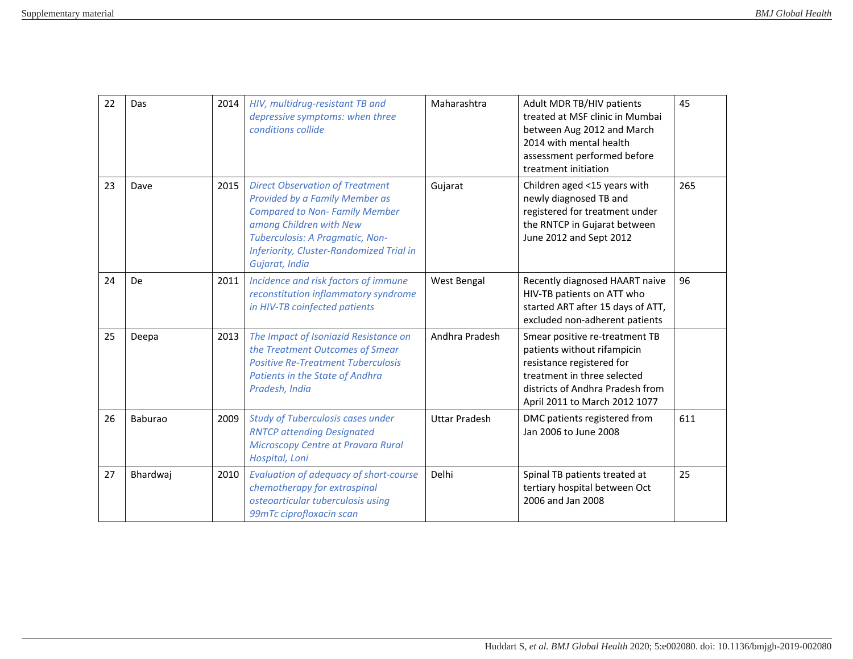| 22 | Das            | 2014 | HIV, multidrug-resistant TB and<br>depressive symptoms: when three<br>conditions collide                                                                                                                                                     | Maharashtra          | Adult MDR TB/HIV patients<br>treated at MSF clinic in Mumbai<br>between Aug 2012 and March<br>2014 with mental health<br>assessment performed before<br>treatment initiation                   | 45  |
|----|----------------|------|----------------------------------------------------------------------------------------------------------------------------------------------------------------------------------------------------------------------------------------------|----------------------|------------------------------------------------------------------------------------------------------------------------------------------------------------------------------------------------|-----|
| 23 | Dave           | 2015 | <b>Direct Observation of Treatment</b><br>Provided by a Family Member as<br><b>Compared to Non-Family Member</b><br>among Children with New<br>Tuberculosis: A Pragmatic, Non-<br>Inferiority, Cluster-Randomized Trial in<br>Gujarat, India | Gujarat              | Children aged <15 years with<br>newly diagnosed TB and<br>registered for treatment under<br>the RNTCP in Gujarat between<br>June 2012 and Sept 2012                                            | 265 |
| 24 | De             | 2011 | Incidence and risk factors of immune<br>reconstitution inflammatory syndrome<br>in HIV-TB coinfected patients                                                                                                                                | West Bengal          | Recently diagnosed HAART naive<br>HIV-TB patients on ATT who<br>started ART after 15 days of ATT,<br>excluded non-adherent patients                                                            | 96  |
| 25 | Deepa          | 2013 | The Impact of Isoniazid Resistance on<br>the Treatment Outcomes of Smear<br><b>Positive Re-Treatment Tuberculosis</b><br>Patients in the State of Andhra<br>Pradesh, India                                                                   | Andhra Pradesh       | Smear positive re-treatment TB<br>patients without rifampicin<br>resistance registered for<br>treatment in three selected<br>districts of Andhra Pradesh from<br>April 2011 to March 2012 1077 |     |
| 26 | <b>Baburao</b> | 2009 | <b>Study of Tuberculosis cases under</b><br><b>RNTCP attending Designated</b><br>Microscopy Centre at Pravara Rural<br>Hospital, Loni                                                                                                        | <b>Uttar Pradesh</b> | DMC patients registered from<br>Jan 2006 to June 2008                                                                                                                                          | 611 |
| 27 | Bhardwaj       | 2010 | Evaluation of adequacy of short-course<br>chemotherapy for extraspinal<br>osteoarticular tuberculosis using<br>99mTc ciprofloxacin scan                                                                                                      | Delhi                | Spinal TB patients treated at<br>tertiary hospital between Oct<br>2006 and Jan 2008                                                                                                            | 25  |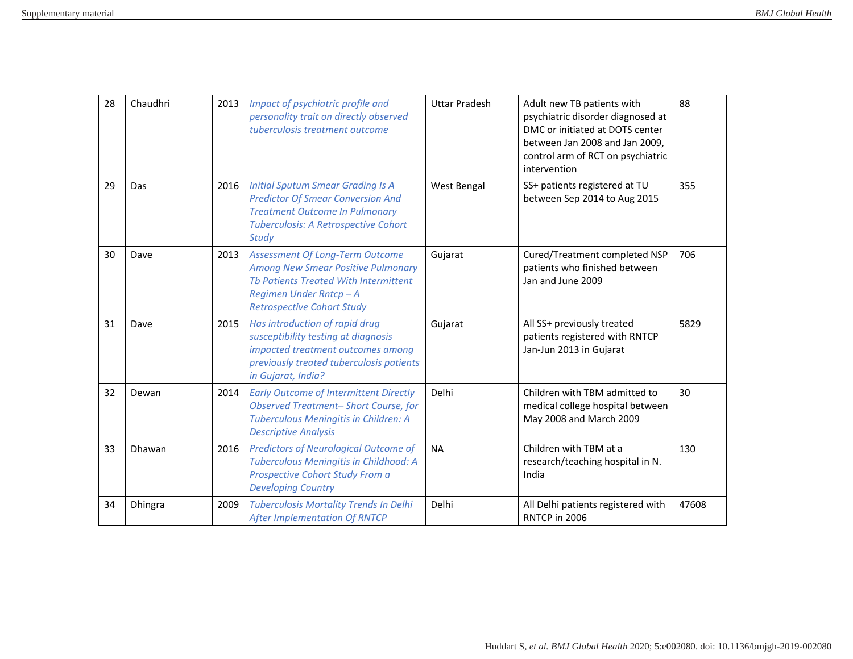| 28 | Chaudhri | 2013 | Impact of psychiatric profile and<br>personality trait on directly observed<br>tuberculosis treatment outcome                                                                              | <b>Uttar Pradesh</b> | Adult new TB patients with<br>psychiatric disorder diagnosed at<br>DMC or initiated at DOTS center<br>between Jan 2008 and Jan 2009,<br>control arm of RCT on psychiatric<br>intervention | 88    |
|----|----------|------|--------------------------------------------------------------------------------------------------------------------------------------------------------------------------------------------|----------------------|-------------------------------------------------------------------------------------------------------------------------------------------------------------------------------------------|-------|
| 29 | Das      | 2016 | <b>Initial Sputum Smear Grading Is A</b><br><b>Predictor Of Smear Conversion And</b><br><b>Treatment Outcome In Pulmonary</b><br>Tuberculosis: A Retrospective Cohort<br><b>Study</b>      | West Bengal          | SS+ patients registered at TU<br>between Sep 2014 to Aug 2015                                                                                                                             | 355   |
| 30 | Dave     | 2013 | <b>Assessment Of Long-Term Outcome</b><br><b>Among New Smear Positive Pulmonary</b><br>Th Patients Treated With Intermittent<br>Regimen Under Rntcp-A<br><b>Retrospective Cohort Study</b> | Gujarat              | Cured/Treatment completed NSP<br>patients who finished between<br>Jan and June 2009                                                                                                       | 706   |
| 31 | Dave     | 2015 | Has introduction of rapid drug<br>susceptibility testing at diagnosis<br>impacted treatment outcomes among<br>previously treated tuberculosis patients<br>in Gujarat, India?               | Gujarat              | All SS+ previously treated<br>patients registered with RNTCP<br>Jan-Jun 2013 in Gujarat                                                                                                   | 5829  |
| 32 | Dewan    | 2014 | <b>Early Outcome of Intermittent Directly</b><br><b>Observed Treatment-Short Course, for</b><br>Tuberculous Meningitis in Children: A<br><b>Descriptive Analysis</b>                       | Delhi                | Children with TBM admitted to<br>medical college hospital between<br>May 2008 and March 2009                                                                                              | 30    |
| 33 | Dhawan   | 2016 | <b>Predictors of Neurological Outcome of</b><br>Tuberculous Meningitis in Childhood: A<br>Prospective Cohort Study From a<br><b>Developing Country</b>                                     | <b>NA</b>            | Children with TBM at a<br>research/teaching hospital in N.<br>India                                                                                                                       | 130   |
| 34 | Dhingra  | 2009 | <b>Tuberculosis Mortality Trends In Delhi</b><br><b>After Implementation Of RNTCP</b>                                                                                                      | Delhi                | All Delhi patients registered with<br>RNTCP in 2006                                                                                                                                       | 47608 |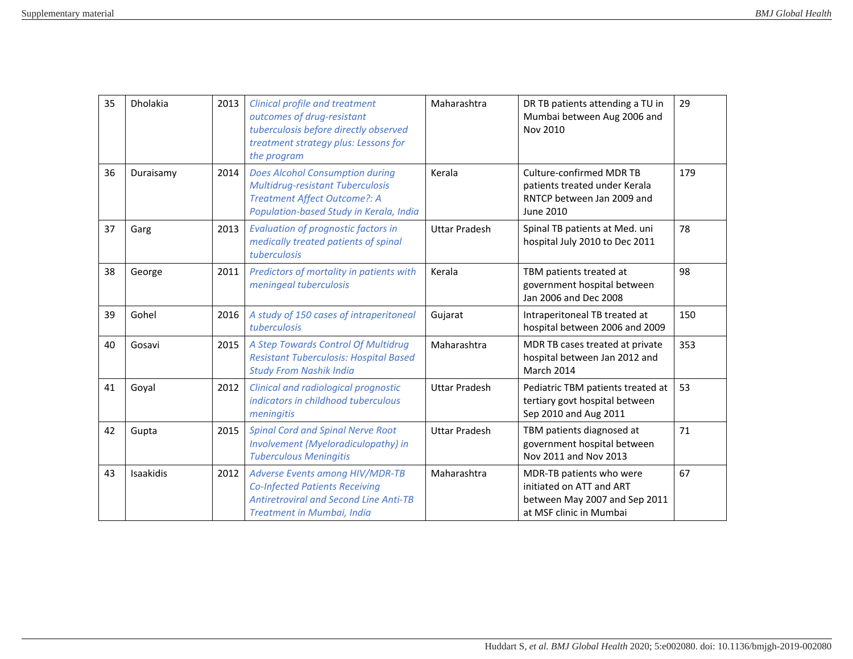| 35 | Dholakia  | 2013 | <b>Clinical profile and treatment</b><br>outcomes of drug-resistant<br>tuberculosis before directly observed<br>treatment strategy plus: Lessons for<br>the program | Maharashtra          | DR TB patients attending a TU in<br>Mumbai between Aug 2006 and<br>Nov 2010                                      | 29  |
|----|-----------|------|---------------------------------------------------------------------------------------------------------------------------------------------------------------------|----------------------|------------------------------------------------------------------------------------------------------------------|-----|
| 36 | Duraisamy | 2014 | <b>Does Alcohol Consumption during</b><br><b>Multidrug-resistant Tuberculosis</b><br>Treatment Affect Outcome?: A<br>Population-based Study in Kerala, India        | Kerala               | Culture-confirmed MDR TB<br>patients treated under Kerala<br>RNTCP between Jan 2009 and<br>June 2010             | 179 |
| 37 | Garg      | 2013 | <b>Evaluation of prognostic factors in</b><br>medically treated patients of spinal<br>tuberculosis                                                                  | <b>Uttar Pradesh</b> | Spinal TB patients at Med. uni<br>hospital July 2010 to Dec 2011                                                 | 78  |
| 38 | George    | 2011 | Predictors of mortality in patients with<br>meningeal tuberculosis                                                                                                  | Kerala               | TBM patients treated at<br>government hospital between<br>Jan 2006 and Dec 2008                                  | 98  |
| 39 | Gohel     | 2016 | A study of 150 cases of intraperitoneal<br>tuberculosis                                                                                                             | Gujarat              | Intraperitoneal TB treated at<br>hospital between 2006 and 2009                                                  | 150 |
| 40 | Gosavi    | 2015 | A Step Towards Control Of Multidrug<br><b>Resistant Tuberculosis: Hospital Based</b><br><b>Study From Nashik India</b>                                              | Maharashtra          | MDR TB cases treated at private<br>hospital between Jan 2012 and<br><b>March 2014</b>                            | 353 |
| 41 | Goyal     | 2012 | Clinical and radiological prognostic<br>indicators in childhood tuberculous<br>meningitis                                                                           | <b>Uttar Pradesh</b> | Pediatric TBM patients treated at<br>tertiary govt hospital between<br>Sep 2010 and Aug 2011                     | 53  |
| 42 | Gupta     | 2015 | <b>Spinal Cord and Spinal Nerve Root</b><br>Involvement (Myeloradiculopathy) in<br><b>Tuberculous Meningitis</b>                                                    | <b>Uttar Pradesh</b> | TBM patients diagnosed at<br>government hospital between<br>Nov 2011 and Nov 2013                                | 71  |
| 43 | Isaakidis | 2012 | Adverse Events among HIV/MDR-TB<br><b>Co-Infected Patients Receiving</b><br><b>Antiretroviral and Second Line Anti-TB</b><br>Treatment in Mumbai, India             | Maharashtra          | MDR-TB patients who were<br>initiated on ATT and ART<br>between May 2007 and Sep 2011<br>at MSF clinic in Mumbai | 67  |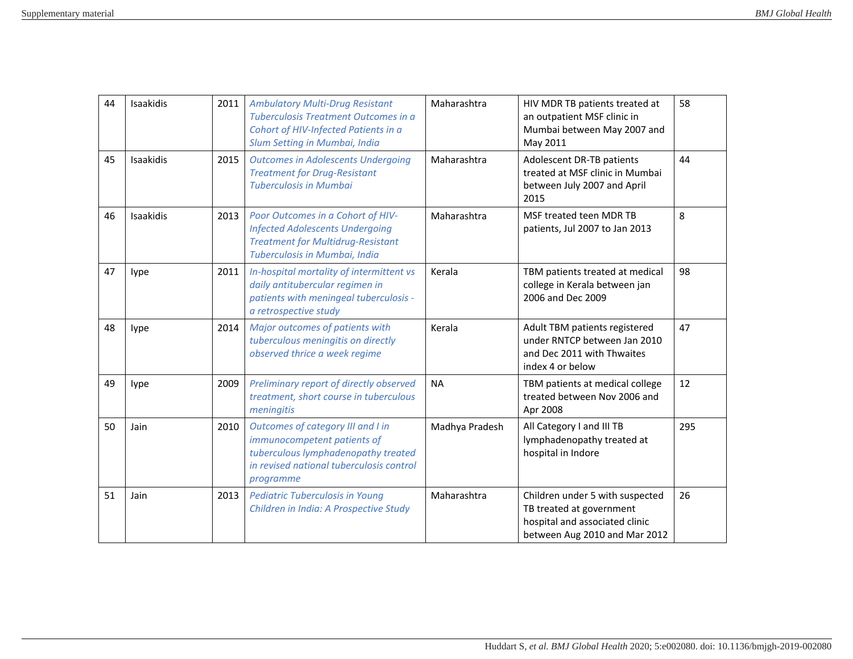| 44 | Isaakidis | 2011 | <b>Ambulatory Multi-Drug Resistant</b><br>Tuberculosis Treatment Outcomes in a<br>Cohort of HIV-Infected Patients in a<br>Slum Setting in Mumbai, India          | Maharashtra    | HIV MDR TB patients treated at<br>an outpatient MSF clinic in<br>Mumbai between May 2007 and<br>May 2011                       | 58  |
|----|-----------|------|------------------------------------------------------------------------------------------------------------------------------------------------------------------|----------------|--------------------------------------------------------------------------------------------------------------------------------|-----|
| 45 | Isaakidis | 2015 | <b>Outcomes in Adolescents Undergoing</b><br><b>Treatment for Drug-Resistant</b><br><b>Tuberculosis in Mumbai</b>                                                | Maharashtra    | Adolescent DR-TB patients<br>treated at MSF clinic in Mumbai<br>between July 2007 and April<br>2015                            | 44  |
| 46 | Isaakidis | 2013 | Poor Outcomes in a Cohort of HIV-<br><b>Infected Adolescents Undergoing</b><br><b>Treatment for Multidrug-Resistant</b><br>Tuberculosis in Mumbai, India         | Maharashtra    | MSF treated teen MDR TB<br>patients, Jul 2007 to Jan 2013                                                                      | 8   |
| 47 | lype      | 2011 | In-hospital mortality of intermittent vs<br>daily antitubercular regimen in<br>patients with meningeal tuberculosis -<br>a retrospective study                   | Kerala         | TBM patients treated at medical<br>college in Kerala between jan<br>2006 and Dec 2009                                          | 98  |
| 48 | lype      | 2014 | Major outcomes of patients with<br>tuberculous meningitis on directly<br>observed thrice a week regime                                                           | Kerala         | Adult TBM patients registered<br>under RNTCP between Jan 2010<br>and Dec 2011 with Thwaites<br>index 4 or below                | 47  |
| 49 | lype      | 2009 | Preliminary report of directly observed<br>treatment, short course in tuberculous<br>meningitis                                                                  | <b>NA</b>      | TBM patients at medical college<br>treated between Nov 2006 and<br>Apr 2008                                                    | 12  |
| 50 | Jain      | 2010 | Outcomes of category III and I in<br>immunocompetent patients of<br>tuberculous lymphadenopathy treated<br>in revised national tuberculosis control<br>programme | Madhya Pradesh | All Category I and III TB<br>lymphadenopathy treated at<br>hospital in Indore                                                  | 295 |
| 51 | Jain      | 2013 | <b>Pediatric Tuberculosis in Young</b><br>Children in India: A Prospective Study                                                                                 | Maharashtra    | Children under 5 with suspected<br>TB treated at government<br>hospital and associated clinic<br>between Aug 2010 and Mar 2012 | 26  |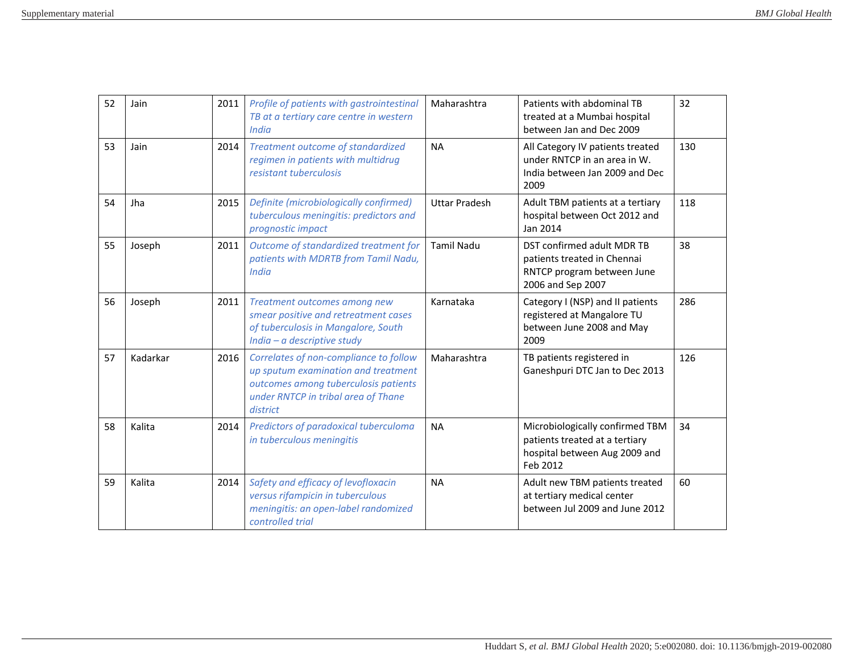| 52 | Jain     | 2011 | Profile of patients with gastrointestinal<br>TB at a tertiary care centre in western<br><b>India</b>                                                                     | Maharashtra          | Patients with abdominal TB<br>treated at a Mumbai hospital<br>between Jan and Dec 2009                         | 32  |
|----|----------|------|--------------------------------------------------------------------------------------------------------------------------------------------------------------------------|----------------------|----------------------------------------------------------------------------------------------------------------|-----|
| 53 | Jain     | 2014 | Treatment outcome of standardized<br>regimen in patients with multidrug<br>resistant tuberculosis                                                                        | <b>NA</b>            | All Category IV patients treated<br>under RNTCP in an area in W.<br>India between Jan 2009 and Dec<br>2009     | 130 |
| 54 | Jha      | 2015 | Definite (microbiologically confirmed)<br>tuberculous meningitis: predictors and<br>prognostic impact                                                                    | <b>Uttar Pradesh</b> | Adult TBM patients at a tertiary<br>hospital between Oct 2012 and<br>Jan 2014                                  | 118 |
| 55 | Joseph   | 2011 | Outcome of standardized treatment for<br>patients with MDRTB from Tamil Nadu,<br><b>India</b>                                                                            | <b>Tamil Nadu</b>    | DST confirmed adult MDR TB<br>patients treated in Chennai<br>RNTCP program between June<br>2006 and Sep 2007   | 38  |
| 56 | Joseph   | 2011 | Treatment outcomes among new<br>smear positive and retreatment cases<br>of tuberculosis in Mangalore, South<br>India $-a$ descriptive study                              | Karnataka            | Category I (NSP) and II patients<br>registered at Mangalore TU<br>between June 2008 and May<br>2009            | 286 |
| 57 | Kadarkar | 2016 | Correlates of non-compliance to follow<br>up sputum examination and treatment<br>outcomes among tuberculosis patients<br>under RNTCP in tribal area of Thane<br>district | Maharashtra          | TB patients registered in<br>Ganeshpuri DTC Jan to Dec 2013                                                    | 126 |
| 58 | Kalita   | 2014 | Predictors of paradoxical tuberculoma<br>in tuberculous meningitis                                                                                                       | <b>NA</b>            | Microbiologically confirmed TBM<br>patients treated at a tertiary<br>hospital between Aug 2009 and<br>Feb 2012 | 34  |
| 59 | Kalita   | 2014 | Safety and efficacy of levofloxacin<br>versus rifampicin in tuberculous<br>meningitis: an open-label randomized<br>controlled trial                                      | <b>NA</b>            | Adult new TBM patients treated<br>at tertiary medical center<br>between Jul 2009 and June 2012                 | 60  |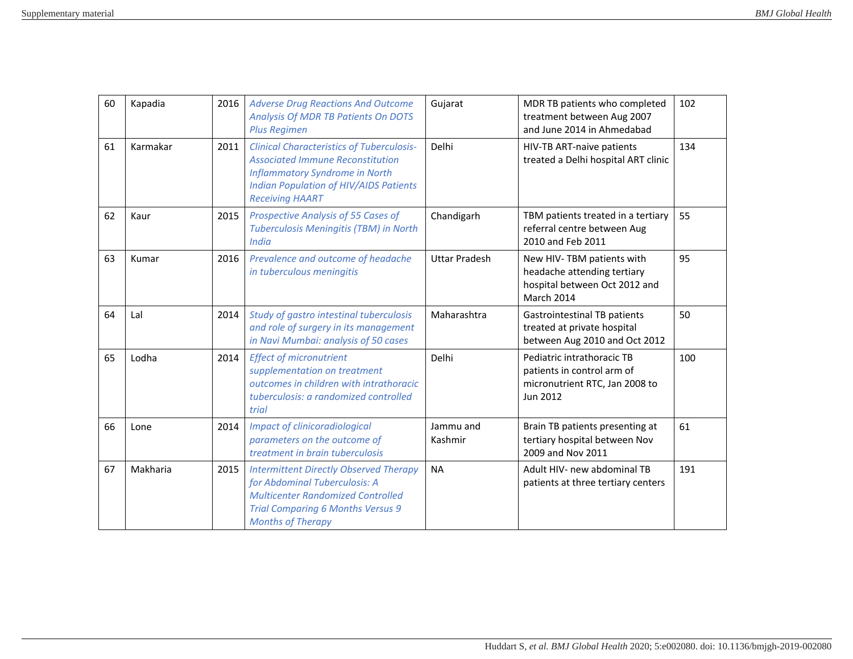| 60 | Kapadia  | 2016 | <b>Adverse Drug Reactions And Outcome</b><br>Analysis Of MDR TB Patients On DOTS<br><b>Plus Regimen</b>                                                                                                         | Gujarat              | MDR TB patients who completed<br>treatment between Aug 2007<br>and June 2014 in Ahmedabad               | 102 |
|----|----------|------|-----------------------------------------------------------------------------------------------------------------------------------------------------------------------------------------------------------------|----------------------|---------------------------------------------------------------------------------------------------------|-----|
| 61 | Karmakar | 2011 | <b>Clinical Characteristics of Tuberculosis-</b><br><b>Associated Immune Reconstitution</b><br><b>Inflammatory Syndrome in North</b><br><b>Indian Population of HIV/AIDS Patients</b><br><b>Receiving HAART</b> | Delhi                | HIV-TB ART-naive patients<br>treated a Delhi hospital ART clinic                                        | 134 |
| 62 | Kaur     | 2015 | <b>Prospective Analysis of 55 Cases of</b><br>Tuberculosis Meningitis (TBM) in North<br><b>India</b>                                                                                                            | Chandigarh           | TBM patients treated in a tertiary<br>referral centre between Aug<br>2010 and Feb 2011                  | 55  |
| 63 | Kumar    | 2016 | Prevalence and outcome of headache<br>in tuberculous meningitis                                                                                                                                                 | <b>Uttar Pradesh</b> | New HIV-TBM patients with<br>headache attending tertiary<br>hospital between Oct 2012 and<br>March 2014 | 95  |
| 64 | Lal      | 2014 | Study of gastro intestinal tuberculosis<br>and role of surgery in its management<br>in Navi Mumbai: analysis of 50 cases                                                                                        | Maharashtra          | <b>Gastrointestinal TB patients</b><br>treated at private hospital<br>between Aug 2010 and Oct 2012     | 50  |
| 65 | Lodha    | 2014 | <b>Effect of micronutrient</b><br>supplementation on treatment<br>outcomes in children with intrathoracic<br>tuberculosis: a randomized controlled<br>trial                                                     | Delhi                | Pediatric intrathoracic TB<br>patients in control arm of<br>micronutrient RTC, Jan 2008 to<br>Jun 2012  | 100 |
| 66 | Lone     | 2014 | <b>Impact of clinicoradiological</b><br>parameters on the outcome of<br>treatment in brain tuberculosis                                                                                                         | Jammu and<br>Kashmir | Brain TB patients presenting at<br>tertiary hospital between Nov<br>2009 and Nov 2011                   | 61  |
| 67 | Makharia | 2015 | <b>Intermittent Directly Observed Therapy</b><br>for Abdominal Tuberculosis: A<br><b>Multicenter Randomized Controlled</b><br><b>Trial Comparing 6 Months Versus 9</b><br><b>Months of Therapy</b>              | <b>NA</b>            | Adult HIV- new abdominal TB<br>patients at three tertiary centers                                       | 191 |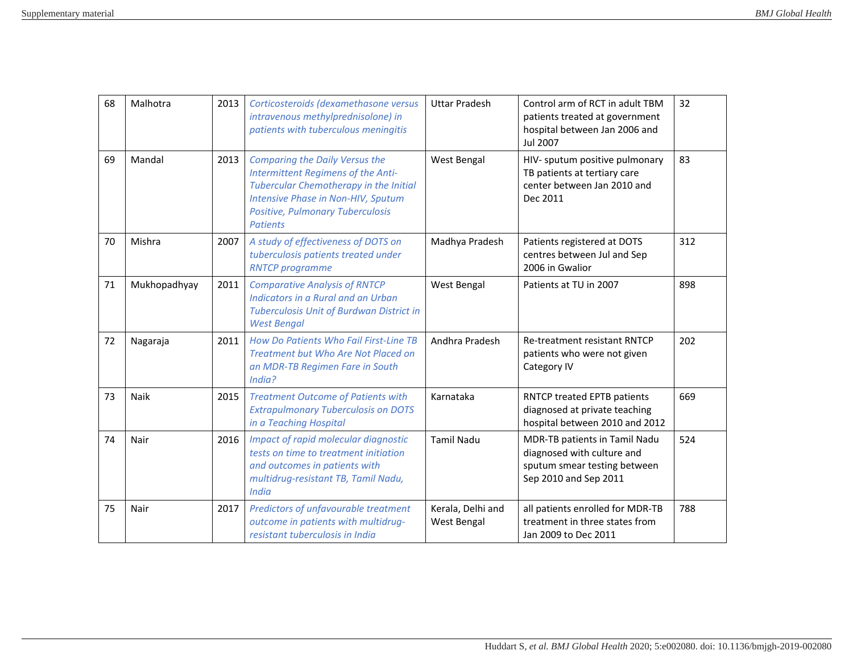| 68 | Malhotra     | 2013 | Corticosteroids (dexamethasone versus<br>intravenous methylprednisolone) in<br>patients with tuberculous meningitis                                                                                                       | <b>Uttar Pradesh</b>                    | Control arm of RCT in adult TBM<br>patients treated at government<br>hospital between Jan 2006 and<br><b>Jul 2007</b> | 32  |
|----|--------------|------|---------------------------------------------------------------------------------------------------------------------------------------------------------------------------------------------------------------------------|-----------------------------------------|-----------------------------------------------------------------------------------------------------------------------|-----|
| 69 | Mandal       | 2013 | <b>Comparing the Daily Versus the</b><br>Intermittent Regimens of the Anti-<br><b>Tubercular Chemotherapy in the Initial</b><br>Intensive Phase in Non-HIV, Sputum<br>Positive, Pulmonary Tuberculosis<br><b>Patients</b> | West Bengal                             | HIV- sputum positive pulmonary<br>TB patients at tertiary care<br>center between Jan 2010 and<br>Dec 2011             | 83  |
| 70 | Mishra       | 2007 | A study of effectiveness of DOTS on<br>tuberculosis patients treated under<br><b>RNTCP</b> programme                                                                                                                      | Madhya Pradesh                          | Patients registered at DOTS<br>centres between Jul and Sep<br>2006 in Gwalior                                         | 312 |
| 71 | Mukhopadhyay | 2011 | <b>Comparative Analysis of RNTCP</b><br>Indicators in a Rural and an Urban<br>Tuberculosis Unit of Burdwan District in<br><b>West Bengal</b>                                                                              | West Bengal                             | Patients at TU in 2007                                                                                                | 898 |
| 72 | Nagaraja     | 2011 | How Do Patients Who Fail First-Line TB<br>Treatment but Who Are Not Placed on<br>an MDR-TB Regimen Fare in South<br>India?                                                                                                | Andhra Pradesh                          | Re-treatment resistant RNTCP<br>patients who were not given<br>Category IV                                            | 202 |
| 73 | Naik         | 2015 | <b>Treatment Outcome of Patients with</b><br><b>Extrapulmonary Tuberculosis on DOTS</b><br>in a Teaching Hospital                                                                                                         | Karnataka                               | RNTCP treated EPTB patients<br>diagnosed at private teaching<br>hospital between 2010 and 2012                        | 669 |
| 74 | Nair         | 2016 | Impact of rapid molecular diagnostic<br>tests on time to treatment initiation<br>and outcomes in patients with<br>multidrug-resistant TB, Tamil Nadu,<br><b>India</b>                                                     | <b>Tamil Nadu</b>                       | MDR-TB patients in Tamil Nadu<br>diagnosed with culture and<br>sputum smear testing between<br>Sep 2010 and Sep 2011  | 524 |
| 75 | Nair         | 2017 | Predictors of unfavourable treatment<br>outcome in patients with multidrug-<br>resistant tuberculosis in India                                                                                                            | Kerala, Delhi and<br><b>West Bengal</b> | all patients enrolled for MDR-TB<br>treatment in three states from<br>Jan 2009 to Dec 2011                            | 788 |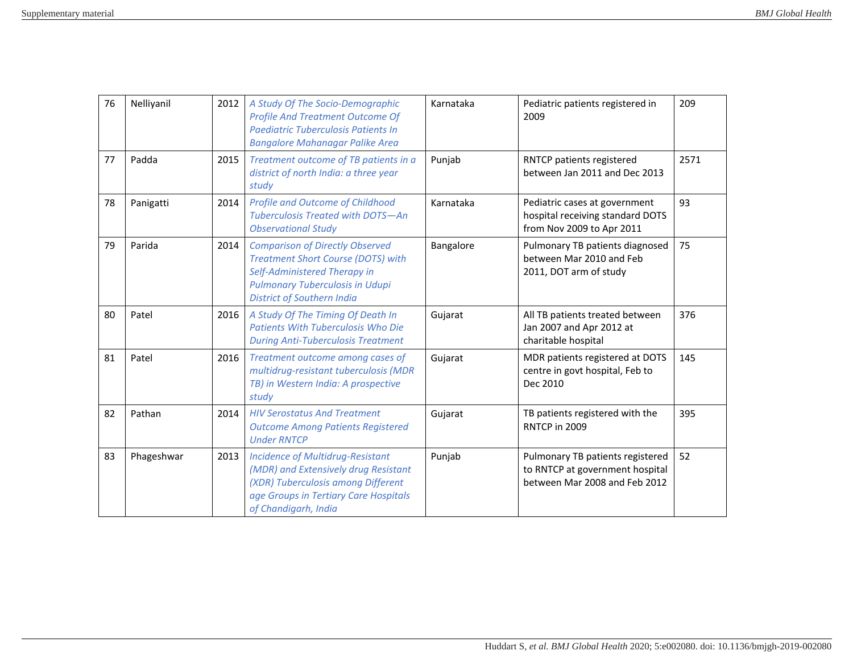| 76 | Nelliyanil | 2012 | A Study Of The Socio-Demographic<br><b>Profile And Treatment Outcome Of</b><br>Paediatric Tuberculosis Patients In<br><b>Bangalore Mahanagar Palike Area</b>                                       | Karnataka | Pediatric patients registered in<br>2009                                                             | 209  |
|----|------------|------|----------------------------------------------------------------------------------------------------------------------------------------------------------------------------------------------------|-----------|------------------------------------------------------------------------------------------------------|------|
| 77 | Padda      | 2015 | Treatment outcome of TB patients in a<br>district of north India: a three year<br>study                                                                                                            | Punjab    | RNTCP patients registered<br>between Jan 2011 and Dec 2013                                           | 2571 |
| 78 | Panigatti  | 2014 | <b>Profile and Outcome of Childhood</b><br>Tuberculosis Treated with DOTS-An<br><b>Observational Study</b>                                                                                         | Karnataka | Pediatric cases at government<br>hospital receiving standard DOTS<br>from Nov 2009 to Apr 2011       | 93   |
| 79 | Parida     | 2014 | <b>Comparison of Directly Observed</b><br><b>Treatment Short Course (DOTS) with</b><br>Self-Administered Therapy in<br><b>Pulmonary Tuberculosis in Udupi</b><br><b>District of Southern India</b> | Bangalore | Pulmonary TB patients diagnosed<br>between Mar 2010 and Feb<br>2011, DOT arm of study                | 75   |
| 80 | Patel      | 2016 | A Study Of The Timing Of Death In<br><b>Patients With Tuberculosis Who Die</b><br><b>During Anti-Tuberculosis Treatment</b>                                                                        | Gujarat   | All TB patients treated between<br>Jan 2007 and Apr 2012 at<br>charitable hospital                   | 376  |
| 81 | Patel      | 2016 | Treatment outcome among cases of<br>multidrug-resistant tuberculosis (MDR<br>TB) in Western India: A prospective<br>study                                                                          | Gujarat   | MDR patients registered at DOTS<br>centre in govt hospital, Feb to<br>Dec 2010                       | 145  |
| 82 | Pathan     | 2014 | <b>HIV Serostatus And Treatment</b><br><b>Outcome Among Patients Registered</b><br><b>Under RNTCP</b>                                                                                              | Gujarat   | TB patients registered with the<br>RNTCP in 2009                                                     | 395  |
| 83 | Phageshwar | 2013 | <b>Incidence of Multidrug-Resistant</b><br>(MDR) and Extensively drug Resistant<br>(XDR) Tuberculosis among Different<br>age Groups in Tertiary Care Hospitals<br>of Chandigarh, India             | Punjab    | Pulmonary TB patients registered<br>to RNTCP at government hospital<br>between Mar 2008 and Feb 2012 | 52   |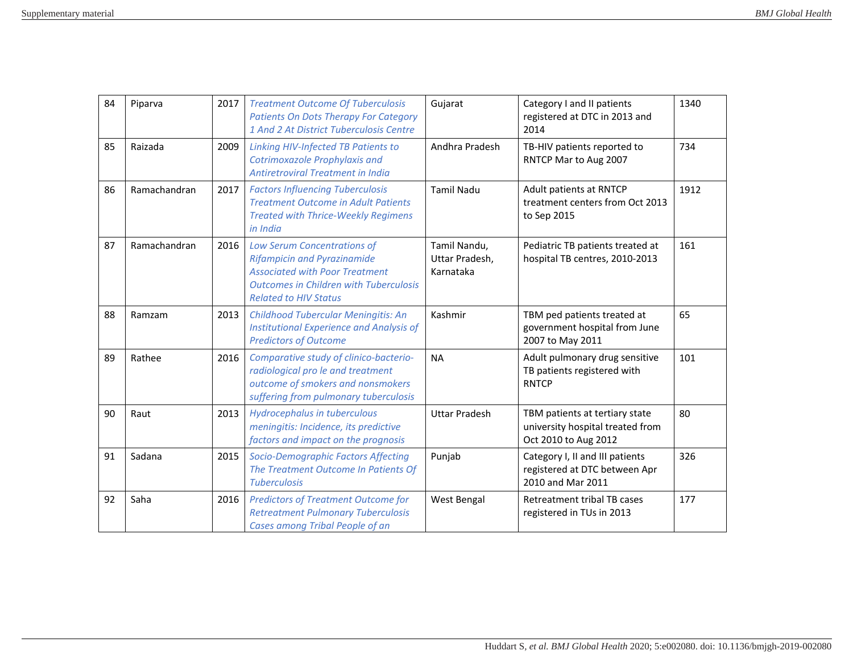| 84 | Piparva      | 2017 | <b>Treatment Outcome Of Tuberculosis</b><br><b>Patients On Dots Therapy For Category</b><br>1 And 2 At District Tuberculosis Centre                                                         | Gujarat                                     | Category I and II patients<br>registered at DTC in 2013 and<br>2014                        | 1340 |
|----|--------------|------|---------------------------------------------------------------------------------------------------------------------------------------------------------------------------------------------|---------------------------------------------|--------------------------------------------------------------------------------------------|------|
| 85 | Raizada      | 2009 | <b>Linking HIV-Infected TB Patients to</b><br>Cotrimoxazole Prophylaxis and<br>Antiretroviral Treatment in India                                                                            | Andhra Pradesh                              | TB-HIV patients reported to<br>RNTCP Mar to Aug 2007                                       | 734  |
| 86 | Ramachandran | 2017 | <b>Factors Influencing Tuberculosis</b><br><b>Treatment Outcome in Adult Patients</b><br><b>Treated with Thrice-Weekly Regimens</b><br>in India                                             | <b>Tamil Nadu</b>                           | Adult patients at RNTCP<br>treatment centers from Oct 2013<br>to Sep 2015                  | 1912 |
| 87 | Ramachandran | 2016 | Low Serum Concentrations of<br><b>Rifampicin and Pyrazinamide</b><br><b>Associated with Poor Treatment</b><br><b>Outcomes in Children with Tuberculosis</b><br><b>Related to HIV Status</b> | Tamil Nandu,<br>Uttar Pradesh,<br>Karnataka | Pediatric TB patients treated at<br>hospital TB centres, 2010-2013                         | 161  |
| 88 | Ramzam       | 2013 | Childhood Tubercular Meningitis: An<br><b>Institutional Experience and Analysis of</b><br><b>Predictors of Outcome</b>                                                                      | Kashmir                                     | TBM ped patients treated at<br>government hospital from June<br>2007 to May 2011           | 65   |
| 89 | Rathee       | 2016 | Comparative study of clinico-bacterio-<br>radiological pro le and treatment<br>outcome of smokers and nonsmokers<br>suffering from pulmonary tuberculosis                                   | <b>NA</b>                                   | Adult pulmonary drug sensitive<br>TB patients registered with<br><b>RNTCP</b>              | 101  |
| 90 | Raut         | 2013 | Hydrocephalus in tuberculous<br>meningitis: Incidence, its predictive<br>factors and impact on the prognosis                                                                                | <b>Uttar Pradesh</b>                        | TBM patients at tertiary state<br>university hospital treated from<br>Oct 2010 to Aug 2012 | 80   |
| 91 | Sadana       | 2015 | Socio-Demographic Factors Affecting<br>The Treatment Outcome In Patients Of<br><b>Tuberculosis</b>                                                                                          | Punjab                                      | Category I, II and III patients<br>registered at DTC between Apr<br>2010 and Mar 2011      | 326  |
| 92 | Saha         | 2016 | <b>Predictors of Treatment Outcome for</b><br><b>Retreatment Pulmonary Tuberculosis</b><br>Cases among Tribal People of an                                                                  | <b>West Bengal</b>                          | Retreatment tribal TB cases<br>registered in TUs in 2013                                   | 177  |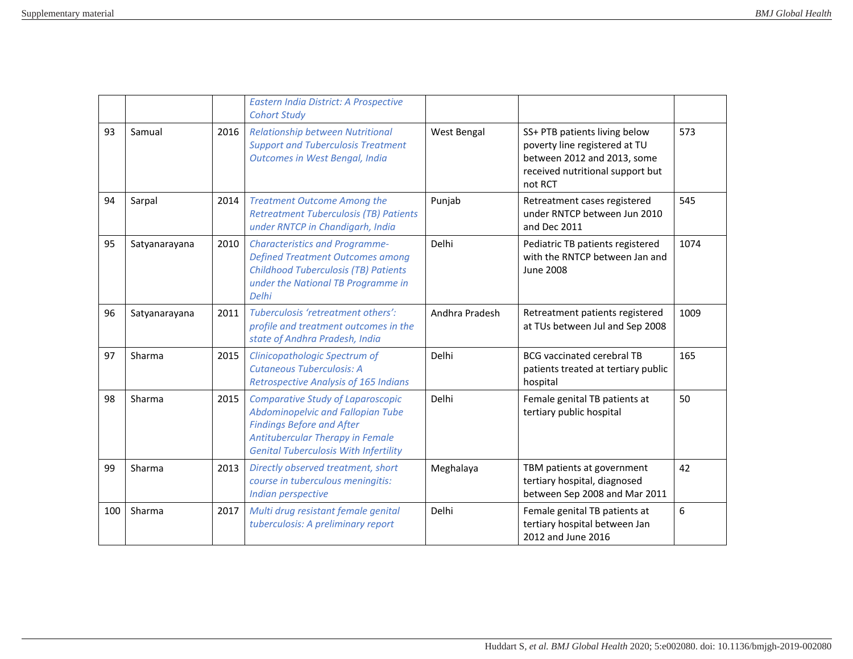|     |               |      | Eastern India District: A Prospective<br><b>Cohort Study</b>                                                                                                                                          |                |                                                                                                                                              |      |
|-----|---------------|------|-------------------------------------------------------------------------------------------------------------------------------------------------------------------------------------------------------|----------------|----------------------------------------------------------------------------------------------------------------------------------------------|------|
| 93  | Samual        | 2016 | <b>Relationship between Nutritional</b><br><b>Support and Tuberculosis Treatment</b><br>Outcomes in West Bengal, India                                                                                | West Bengal    | SS+ PTB patients living below<br>poverty line registered at TU<br>between 2012 and 2013, some<br>received nutritional support but<br>not RCT | 573  |
| 94  | Sarpal        | 2014 | <b>Treatment Outcome Among the</b><br><b>Retreatment Tuberculosis (TB) Patients</b><br>under RNTCP in Chandigarh, India                                                                               | Punjab         | Retreatment cases registered<br>under RNTCP between Jun 2010<br>and Dec 2011                                                                 | 545  |
| 95  | Satyanarayana | 2010 | <b>Characteristics and Programme-</b><br><b>Defined Treatment Outcomes among</b><br><b>Childhood Tuberculosis (TB) Patients</b><br>under the National TB Programme in<br>Delhi                        | Delhi          | Pediatric TB patients registered<br>with the RNTCP between Jan and<br><b>June 2008</b>                                                       | 1074 |
| 96  | Satyanarayana | 2011 | Tuberculosis 'retreatment others':<br>profile and treatment outcomes in the<br>state of Andhra Pradesh, India                                                                                         | Andhra Pradesh | Retreatment patients registered<br>at TUs between Jul and Sep 2008                                                                           | 1009 |
| 97  | Sharma        | 2015 | Clinicopathologic Spectrum of<br>Cutaneous Tuberculosis: A<br><b>Retrospective Analysis of 165 Indians</b>                                                                                            | Delhi          | <b>BCG</b> vaccinated cerebral TB<br>patients treated at tertiary public<br>hospital                                                         | 165  |
| 98  | Sharma        | 2015 | <b>Comparative Study of Laparoscopic</b><br>Abdominopelvic and Fallopian Tube<br><b>Findings Before and After</b><br>Antitubercular Therapy in Female<br><b>Genital Tuberculosis With Infertility</b> | Delhi          | Female genital TB patients at<br>tertiary public hospital                                                                                    | 50   |
| 99  | Sharma        | 2013 | Directly observed treatment, short<br>course in tuberculous meningitis:<br>Indian perspective                                                                                                         | Meghalaya      | TBM patients at government<br>tertiary hospital, diagnosed<br>between Sep 2008 and Mar 2011                                                  | 42   |
| 100 | Sharma        | 2017 | Multi drug resistant female genital<br>tuberculosis: A preliminary report                                                                                                                             | Delhi          | Female genital TB patients at<br>tertiary hospital between Jan<br>2012 and June 2016                                                         | 6    |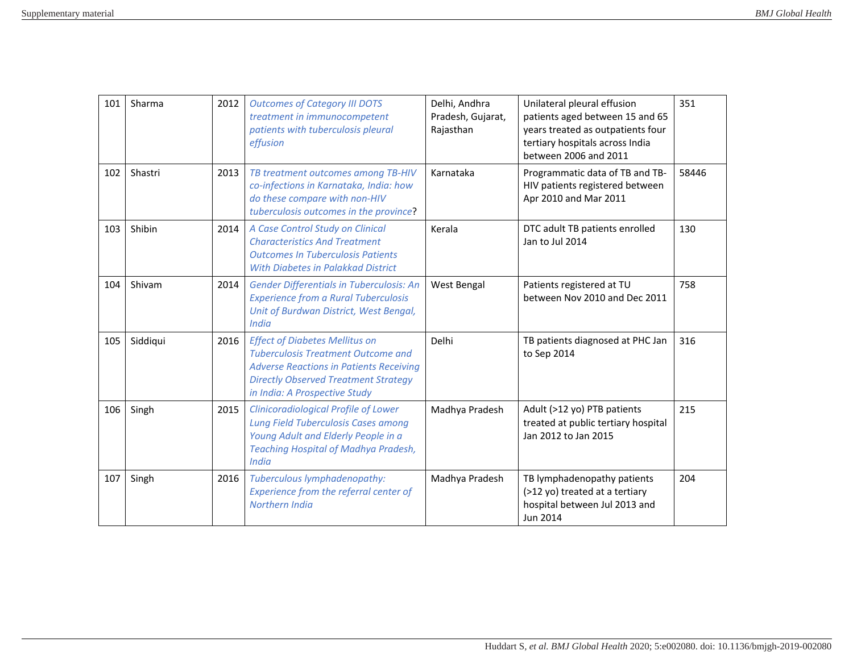| 101 | Sharma   | 2012 | <b>Outcomes of Category III DOTS</b><br>treatment in immunocompetent<br>patients with tuberculosis pleural<br>effusion                                                                                               | Delhi, Andhra<br>Pradesh, Gujarat,<br>Rajasthan | Unilateral pleural effusion<br>patients aged between 15 and 65<br>years treated as outpatients four<br>tertiary hospitals across India<br>between 2006 and 2011 | 351   |
|-----|----------|------|----------------------------------------------------------------------------------------------------------------------------------------------------------------------------------------------------------------------|-------------------------------------------------|-----------------------------------------------------------------------------------------------------------------------------------------------------------------|-------|
| 102 | Shastri  | 2013 | TB treatment outcomes among TB-HIV<br>co-infections in Karnataka, India: how<br>do these compare with non-HIV<br>tuberculosis outcomes in the province?                                                              | Karnataka                                       | Programmatic data of TB and TB-<br>HIV patients registered between<br>Apr 2010 and Mar 2011                                                                     | 58446 |
| 103 | Shibin   | 2014 | A Case Control Study on Clinical<br><b>Characteristics And Treatment</b><br><b>Outcomes In Tuberculosis Patients</b><br><b>With Diabetes in Palakkad District</b>                                                    | Kerala                                          | DTC adult TB patients enrolled<br>Jan to Jul 2014                                                                                                               | 130   |
| 104 | Shivam   | 2014 | <b>Gender Differentials in Tuberculosis: An</b><br><b>Experience from a Rural Tuberculosis</b><br>Unit of Burdwan District, West Bengal,<br><b>India</b>                                                             | West Bengal                                     | Patients registered at TU<br>between Nov 2010 and Dec 2011                                                                                                      | 758   |
| 105 | Siddiqui | 2016 | <b>Effect of Diabetes Mellitus on</b><br><b>Tuberculosis Treatment Outcome and</b><br><b>Adverse Reactions in Patients Receiving</b><br><b>Directly Observed Treatment Strategy</b><br>in India: A Prospective Study | Delhi                                           | TB patients diagnosed at PHC Jan<br>to Sep 2014                                                                                                                 | 316   |
| 106 | Singh    | 2015 | <b>Clinicoradiological Profile of Lower</b><br><b>Lung Field Tuberculosis Cases among</b><br>Young Adult and Elderly People in a<br><b>Teaching Hospital of Madhya Pradesh,</b><br><b>India</b>                      | Madhya Pradesh                                  | Adult (>12 yo) PTB patients<br>treated at public tertiary hospital<br>Jan 2012 to Jan 2015                                                                      | 215   |
| 107 | Singh    | 2016 | Tuberculous lymphadenopathy:<br>Experience from the referral center of<br>Northern India                                                                                                                             | Madhya Pradesh                                  | TB lymphadenopathy patients<br>(>12 yo) treated at a tertiary<br>hospital between Jul 2013 and<br>Jun 2014                                                      | 204   |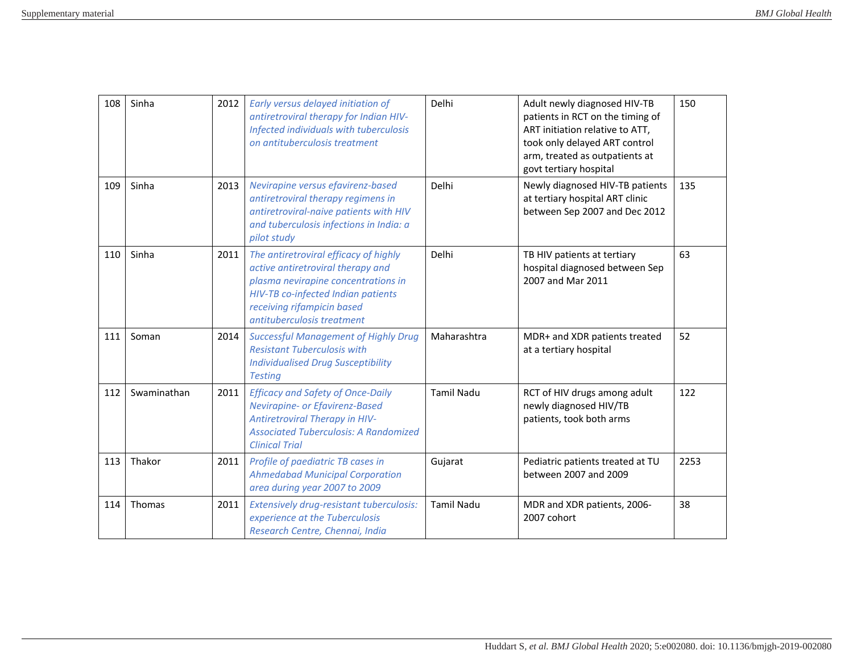| 108 | Sinha       | 2012 | Early versus delayed initiation of<br>antiretroviral therapy for Indian HIV-<br>Infected individuals with tuberculosis<br>on antituberculosis treatment                                                             | Delhi             | Adult newly diagnosed HIV-TB<br>patients in RCT on the timing of<br>ART initiation relative to ATT,<br>took only delayed ART control<br>arm, treated as outpatients at<br>govt tertiary hospital | 150  |
|-----|-------------|------|---------------------------------------------------------------------------------------------------------------------------------------------------------------------------------------------------------------------|-------------------|--------------------------------------------------------------------------------------------------------------------------------------------------------------------------------------------------|------|
| 109 | Sinha       | 2013 | Nevirapine versus efavirenz-based<br>antiretroviral therapy regimens in<br>antiretroviral-naive patients with HIV<br>and tuberculosis infections in India: a<br>pilot study                                         | Delhi             | Newly diagnosed HIV-TB patients<br>at tertiary hospital ART clinic<br>between Sep 2007 and Dec 2012                                                                                              | 135  |
| 110 | Sinha       | 2011 | The antiretroviral efficacy of highly<br>active antiretroviral therapy and<br>plasma nevirapine concentrations in<br>HIV-TB co-infected Indian patients<br>receiving rifampicin based<br>antituberculosis treatment | Delhi             | TB HIV patients at tertiary<br>hospital diagnosed between Sep<br>2007 and Mar 2011                                                                                                               | 63   |
| 111 | Soman       | 2014 | <b>Successful Management of Highly Drug</b><br><b>Resistant Tuberculosis with</b><br><b>Individualised Drug Susceptibility</b><br><b>Testing</b>                                                                    | Maharashtra       | MDR+ and XDR patients treated<br>at a tertiary hospital                                                                                                                                          | 52   |
| 112 | Swaminathan | 2011 | <b>Efficacy and Safety of Once-Daily</b><br>Nevirapine- or Efavirenz-Based<br><b>Antiretroviral Therapy in HIV-</b><br><b>Associated Tuberculosis: A Randomized</b><br><b>Clinical Trial</b>                        | <b>Tamil Nadu</b> | RCT of HIV drugs among adult<br>newly diagnosed HIV/TB<br>patients, took both arms                                                                                                               | 122  |
| 113 | Thakor      | 2011 | Profile of paediatric TB cases in<br><b>Ahmedabad Municipal Corporation</b><br>area during year 2007 to 2009                                                                                                        | Gujarat           | Pediatric patients treated at TU<br>between 2007 and 2009                                                                                                                                        | 2253 |
| 114 | Thomas      | 2011 | Extensively drug-resistant tuberculosis:<br>experience at the Tuberculosis<br>Research Centre, Chennai, India                                                                                                       | <b>Tamil Nadu</b> | MDR and XDR patients, 2006-<br>2007 cohort                                                                                                                                                       | 38   |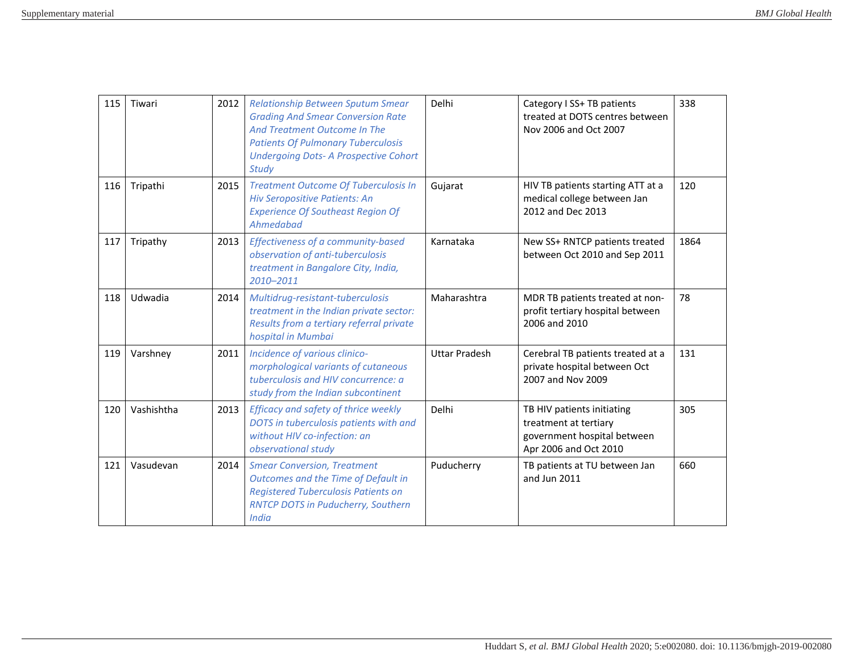| 115 | Tiwari     | 2012 | Relationship Between Sputum Smear<br><b>Grading And Smear Conversion Rate</b><br>And Treatment Outcome In The<br><b>Patients Of Pulmonary Tuberculosis</b><br><b>Undergoing Dots- A Prospective Cohort</b><br><b>Study</b> | Delhi                | Category I SS+ TB patients<br>treated at DOTS centres between<br>Nov 2006 and Oct 2007                      | 338  |
|-----|------------|------|----------------------------------------------------------------------------------------------------------------------------------------------------------------------------------------------------------------------------|----------------------|-------------------------------------------------------------------------------------------------------------|------|
| 116 | Tripathi   | 2015 | <b>Treatment Outcome Of Tuberculosis In</b><br><b>Hiv Seropositive Patients: An</b><br><b>Experience Of Southeast Region Of</b><br>Ahmedabad                                                                               | Gujarat              | HIV TB patients starting ATT at a<br>medical college between Jan<br>2012 and Dec 2013                       | 120  |
| 117 | Tripathy   | 2013 | Effectiveness of a community-based<br>observation of anti-tuberculosis<br>treatment in Bangalore City, India,<br>2010-2011                                                                                                 | Karnataka            | New SS+ RNTCP patients treated<br>between Oct 2010 and Sep 2011                                             | 1864 |
| 118 | Udwadia    | 2014 | Multidrug-resistant-tuberculosis<br>treatment in the Indian private sector:<br>Results from a tertiary referral private<br>hospital in Mumbai                                                                              | Maharashtra          | MDR TB patients treated at non-<br>profit tertiary hospital between<br>2006 and 2010                        | 78   |
| 119 | Varshney   | 2011 | Incidence of various clinico-<br>morphological variants of cutaneous<br>tuberculosis and HIV concurrence: a<br>study from the Indian subcontinent                                                                          | <b>Uttar Pradesh</b> | Cerebral TB patients treated at a<br>private hospital between Oct<br>2007 and Nov 2009                      | 131  |
| 120 | Vashishtha | 2013 | Efficacy and safety of thrice weekly<br>DOTS in tuberculosis patients with and<br>without HIV co-infection: an<br>observational study                                                                                      | Delhi                | TB HIV patients initiating<br>treatment at tertiary<br>government hospital between<br>Apr 2006 and Oct 2010 | 305  |
| 121 | Vasudevan  | 2014 | <b>Smear Conversion, Treatment</b><br>Outcomes and the Time of Default in<br><b>Registered Tuberculosis Patients on</b><br><b>RNTCP DOTS in Puducherry, Southern</b><br>India                                              | Puducherry           | TB patients at TU between Jan<br>and Jun 2011                                                               | 660  |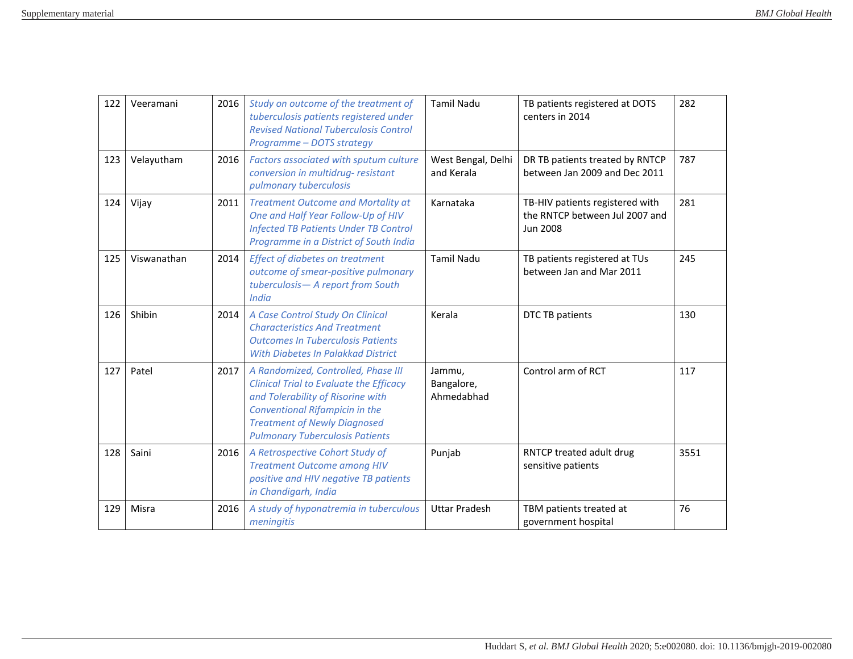| 122 | Veeramani   | 2016 | Study on outcome of the treatment of<br>tuberculosis patients registered under<br><b>Revised National Tuberculosis Control</b><br>Programme - DOTS strategy                                                                                          | <b>Tamil Nadu</b>                  | TB patients registered at DOTS<br>centers in 2014                                    | 282  |
|-----|-------------|------|------------------------------------------------------------------------------------------------------------------------------------------------------------------------------------------------------------------------------------------------------|------------------------------------|--------------------------------------------------------------------------------------|------|
| 123 | Velayutham  | 2016 | Factors associated with sputum culture<br>conversion in multidrug- resistant<br>pulmonary tuberculosis                                                                                                                                               | West Bengal, Delhi<br>and Kerala   | DR TB patients treated by RNTCP<br>between Jan 2009 and Dec 2011                     | 787  |
| 124 | Vijay       | 2011 | <b>Treatment Outcome and Mortality at</b><br>One and Half Year Follow-Up of HIV<br><b>Infected TB Patients Under TB Control</b><br>Programme in a District of South India                                                                            | Karnataka                          | TB-HIV patients registered with<br>the RNTCP between Jul 2007 and<br><b>Jun 2008</b> | 281  |
| 125 | Viswanathan | 2014 | <b>Effect of diabetes on treatment</b><br>outcome of smear-positive pulmonary<br>tuberculosis- A report from South<br><b>India</b>                                                                                                                   | <b>Tamil Nadu</b>                  | TB patients registered at TUs<br>between Jan and Mar 2011                            | 245  |
| 126 | Shibin      | 2014 | A Case Control Study On Clinical<br><b>Characteristics And Treatment</b><br><b>Outcomes In Tuberculosis Patients</b><br><b>With Diabetes In Palakkad District</b>                                                                                    | Kerala                             | DTC TB patients                                                                      | 130  |
| 127 | Patel       | 2017 | A Randomized, Controlled, Phase III<br><b>Clinical Trial to Evaluate the Efficacy</b><br>and Tolerability of Risorine with<br><b>Conventional Rifampicin in the</b><br><b>Treatment of Newly Diagnosed</b><br><b>Pulmonary Tuberculosis Patients</b> | Jammu,<br>Bangalore,<br>Ahmedabhad | Control arm of RCT                                                                   | 117  |
| 128 | Saini       | 2016 | A Retrospective Cohort Study of<br><b>Treatment Outcome among HIV</b><br>positive and HIV negative TB patients<br>in Chandigarh, India                                                                                                               | Punjab                             | RNTCP treated adult drug<br>sensitive patients                                       | 3551 |
| 129 | Misra       | 2016 | A study of hyponatremia in tuberculous<br>meningitis                                                                                                                                                                                                 | <b>Uttar Pradesh</b>               | TBM patients treated at<br>government hospital                                       | 76   |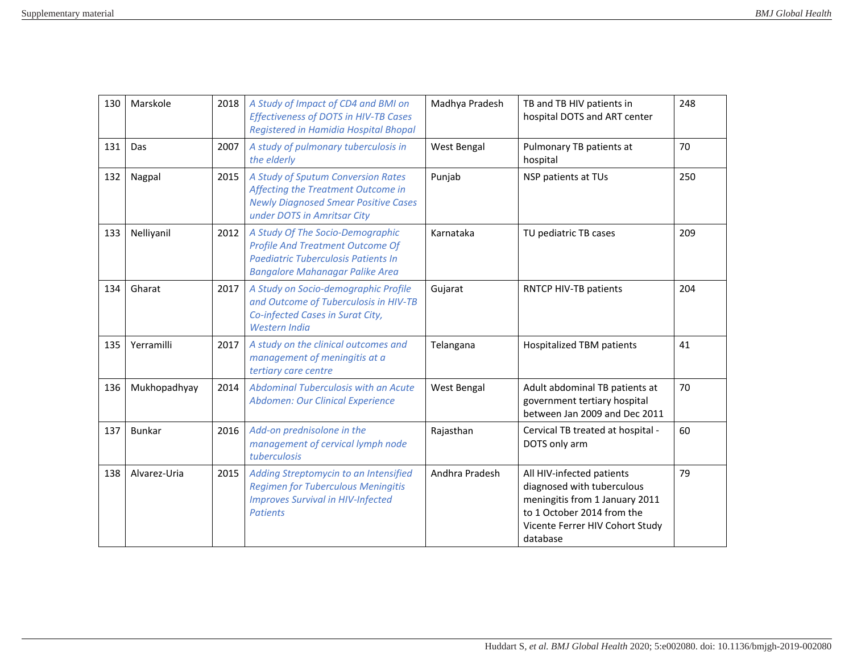| 130 | Marskole      | 2018 | A Study of Impact of CD4 and BMI on<br><b>Effectiveness of DOTS in HIV-TB Cases</b><br>Registered in Hamidia Hospital Bhopal                                 | Madhya Pradesh | TB and TB HIV patients in<br>hospital DOTS and ART center                                                                                                              | 248 |
|-----|---------------|------|--------------------------------------------------------------------------------------------------------------------------------------------------------------|----------------|------------------------------------------------------------------------------------------------------------------------------------------------------------------------|-----|
| 131 | Das           | 2007 | A study of pulmonary tuberculosis in<br>the elderly                                                                                                          | West Bengal    | Pulmonary TB patients at<br>hospital                                                                                                                                   | 70  |
| 132 | Nagpal        | 2015 | A Study of Sputum Conversion Rates<br>Affecting the Treatment Outcome in<br><b>Newly Diagnosed Smear Positive Cases</b><br>under DOTS in Amritsar City       | Punjab         | NSP patients at TUs                                                                                                                                                    | 250 |
| 133 | Nelliyanil    | 2012 | A Study Of The Socio-Demographic<br><b>Profile And Treatment Outcome Of</b><br>Paediatric Tuberculosis Patients In<br><b>Bangalore Mahanagar Palike Area</b> | Karnataka      | TU pediatric TB cases                                                                                                                                                  | 209 |
| 134 | Gharat        | 2017 | A Study on Socio-demographic Profile<br>and Outcome of Tuberculosis in HIV-TB<br>Co-infected Cases in Surat City,<br>Western India                           | Gujarat        | RNTCP HIV-TB patients                                                                                                                                                  | 204 |
| 135 | Yerramilli    | 2017 | A study on the clinical outcomes and<br>management of meningitis at a<br>tertiary care centre                                                                | Telangana      | Hospitalized TBM patients                                                                                                                                              | 41  |
| 136 | Mukhopadhyay  | 2014 | Abdominal Tuberculosis with an Acute<br>Abdomen: Our Clinical Experience                                                                                     | West Bengal    | Adult abdominal TB patients at<br>government tertiary hospital<br>between Jan 2009 and Dec 2011                                                                        | 70  |
| 137 | <b>Bunkar</b> | 2016 | Add-on prednisolone in the<br>management of cervical lymph node<br>tuberculosis                                                                              | Rajasthan      | Cervical TB treated at hospital -<br>DOTS only arm                                                                                                                     | 60  |
| 138 | Alvarez-Uria  | 2015 | Adding Streptomycin to an Intensified<br><b>Regimen for Tuberculous Meningitis</b><br><b>Improves Survival in HIV-Infected</b><br><b>Patients</b>            | Andhra Pradesh | All HIV-infected patients<br>diagnosed with tuberculous<br>meningitis from 1 January 2011<br>to 1 October 2014 from the<br>Vicente Ferrer HIV Cohort Study<br>database | 79  |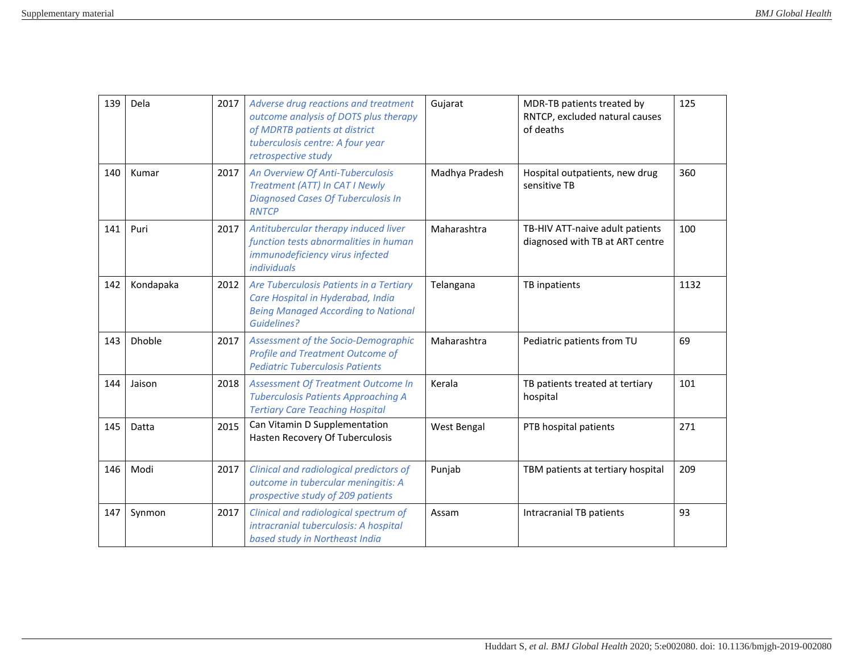| 139 | Dela          | 2017 | Adverse drug reactions and treatment<br>outcome analysis of DOTS plus therapy<br>of MDRTB patients at district<br>tuberculosis centre: A four year<br>retrospective study | Gujarat        | MDR-TB patients treated by<br>RNTCP, excluded natural causes<br>of deaths | 125  |
|-----|---------------|------|---------------------------------------------------------------------------------------------------------------------------------------------------------------------------|----------------|---------------------------------------------------------------------------|------|
| 140 | Kumar         | 2017 | An Overview Of Anti-Tuberculosis<br>Treatment (ATT) In CAT I Newly<br><b>Diagnosed Cases Of Tuberculosis In</b><br><b>RNTCP</b>                                           | Madhya Pradesh | Hospital outpatients, new drug<br>sensitive TB                            | 360  |
| 141 | Puri          | 2017 | Antitubercular therapy induced liver<br>function tests abnormalities in human<br>immunodeficiency virus infected<br>individuals                                           | Maharashtra    | TB-HIV ATT-naive adult patients<br>diagnosed with TB at ART centre        | 100  |
| 142 | Kondapaka     | 2012 | Are Tuberculosis Patients in a Tertiary<br>Care Hospital in Hyderabad, India<br><b>Being Managed According to National</b><br>Guidelines?                                 | Telangana      | TB inpatients                                                             | 1132 |
| 143 | <b>Dhoble</b> | 2017 | Assessment of the Socio-Demographic<br><b>Profile and Treatment Outcome of</b><br><b>Pediatric Tuberculosis Patients</b>                                                  | Maharashtra    | Pediatric patients from TU                                                | 69   |
| 144 | Jaison        | 2018 | Assessment Of Treatment Outcome In<br><b>Tuberculosis Patients Approaching A</b><br><b>Tertiary Care Teaching Hospital</b>                                                | Kerala         | TB patients treated at tertiary<br>hospital                               | 101  |
| 145 | Datta         | 2015 | Can Vitamin D Supplementation<br>Hasten Recovery Of Tuberculosis                                                                                                          | West Bengal    | PTB hospital patients                                                     | 271  |
| 146 | Modi          | 2017 | Clinical and radiological predictors of<br>outcome in tubercular meningitis: A<br>prospective study of 209 patients                                                       | Punjab         | TBM patients at tertiary hospital                                         | 209  |
| 147 | Synmon        | 2017 | Clinical and radiological spectrum of<br>intracranial tuberculosis: A hospital<br>based study in Northeast India                                                          | Assam          | Intracranial TB patients                                                  | 93   |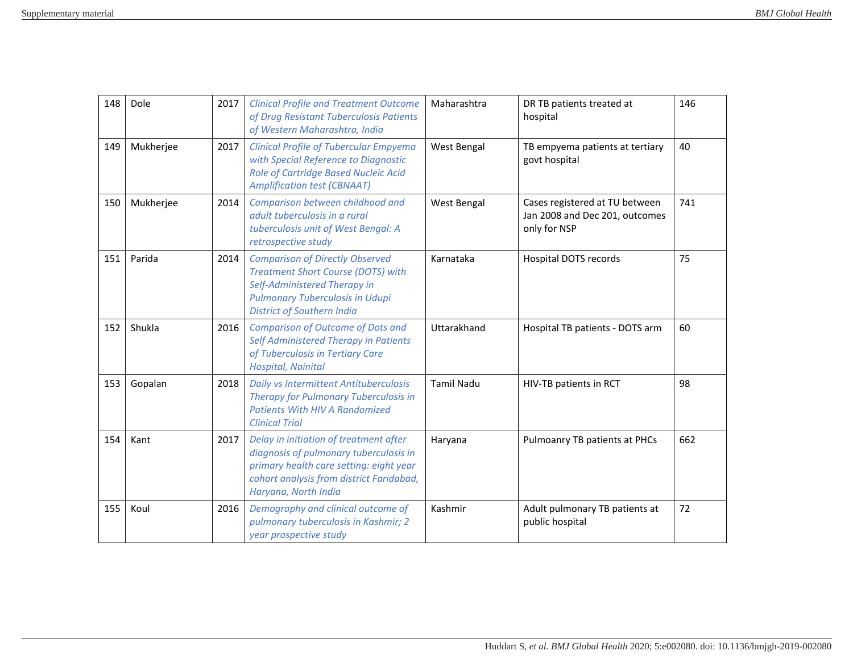| 148 | Dole      | 2017 | <b>Clinical Profile and Treatment Outcome</b><br>of Drug Resistant Tuberculosis Patients<br>of Western Maharashtra, India                                                                          | Maharashtra       | DR TB patients treated at<br>hospital                                            | 146 |
|-----|-----------|------|----------------------------------------------------------------------------------------------------------------------------------------------------------------------------------------------------|-------------------|----------------------------------------------------------------------------------|-----|
| 149 | Mukherjee | 2017 | <b>Clinical Profile of Tubercular Empyema</b><br>with Special Reference to Diagnostic<br>Role of Cartridge Based Nucleic Acid<br><b>Amplification test (CBNAAT)</b>                                | West Bengal       | TB empyema patients at tertiary<br>govt hospital                                 | 40  |
| 150 | Mukherjee | 2014 | Comparison between childhood and<br>adult tuberculosis in a rural<br>tuberculosis unit of West Bengal: A<br>retrospective study                                                                    | West Bengal       | Cases registered at TU between<br>Jan 2008 and Dec 201, outcomes<br>only for NSP | 741 |
| 151 | Parida    | 2014 | <b>Comparison of Directly Observed</b><br><b>Treatment Short Course (DOTS) with</b><br>Self-Administered Therapy in<br><b>Pulmonary Tuberculosis in Udupi</b><br><b>District of Southern India</b> | Karnataka         | Hospital DOTS records                                                            | 75  |
| 152 | Shukla    | 2016 | <b>Comparison of Outcome of Dots and</b><br>Self Administered Therapy in Patients<br>of Tuberculosis in Tertiary Care<br>Hospital, Nainital                                                        | Uttarakhand       | Hospital TB patients - DOTS arm                                                  | 60  |
| 153 | Gopalan   | 2018 | <b>Daily vs Intermittent Antituberculosis</b><br>Therapy for Pulmonary Tuberculosis in<br><b>Patients With HIV A Randomized</b><br><b>Clinical Trial</b>                                           | <b>Tamil Nadu</b> | HIV-TB patients in RCT                                                           | 98  |
| 154 | Kant      | 2017 | Delay in initiation of treatment after<br>diagnosis of pulmonary tuberculosis in<br>primary health care setting: eight year<br>cohort analysis from district Faridabad,<br>Haryana, North India    | Haryana           | Pulmoanry TB patients at PHCs                                                    | 662 |
| 155 | Koul      | 2016 | Demography and clinical outcome of<br>pulmonary tuberculosis in Kashmir; 2<br>year prospective study                                                                                               | Kashmir           | Adult pulmonary TB patients at<br>public hospital                                | 72  |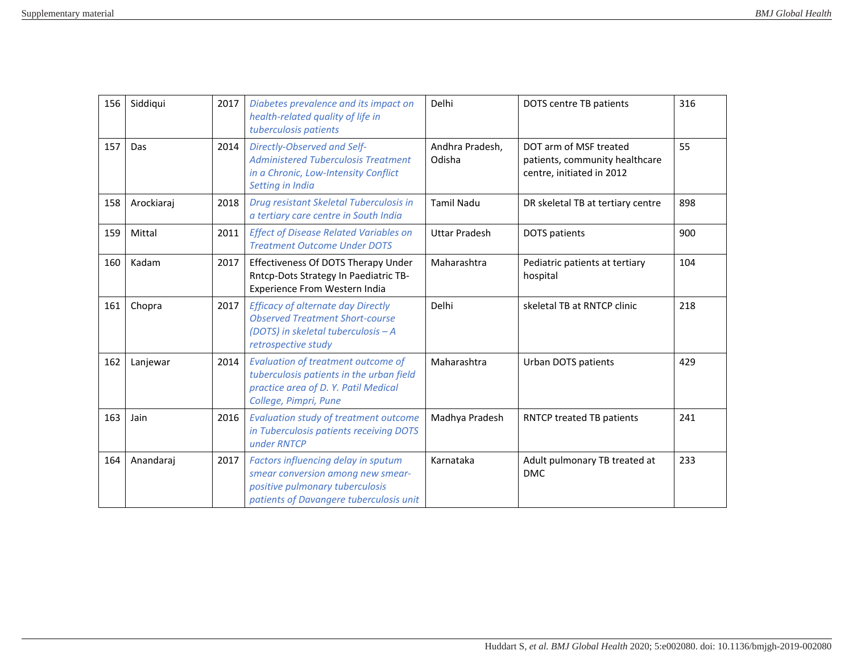| 156 | Siddiqui   | 2017 | Diabetes prevalence and its impact on<br>health-related quality of life in<br>tuberculosis patients                                                    | Delhi                     | DOTS centre TB patients                                                               | 316 |
|-----|------------|------|--------------------------------------------------------------------------------------------------------------------------------------------------------|---------------------------|---------------------------------------------------------------------------------------|-----|
| 157 | Das        | 2014 | Directly-Observed and Self-<br><b>Administered Tuberculosis Treatment</b><br>in a Chronic, Low-Intensity Conflict<br>Setting in India                  | Andhra Pradesh,<br>Odisha | DOT arm of MSF treated<br>patients, community healthcare<br>centre, initiated in 2012 | 55  |
| 158 | Arockiaraj | 2018 | Drug resistant Skeletal Tuberculosis in<br>a tertiary care centre in South India                                                                       | <b>Tamil Nadu</b>         | DR skeletal TB at tertiary centre                                                     | 898 |
| 159 | Mittal     | 2011 | <b>Effect of Disease Related Variables on</b><br><b>Treatment Outcome Under DOTS</b>                                                                   | <b>Uttar Pradesh</b>      | <b>DOTS</b> patients                                                                  | 900 |
| 160 | Kadam      | 2017 | Effectiveness Of DOTS Therapy Under<br>Rntcp-Dots Strategy In Paediatric TB-<br>Experience From Western India                                          | Maharashtra               | Pediatric patients at tertiary<br>hospital                                            | 104 |
| 161 | Chopra     | 2017 | <b>Efficacy of alternate day Directly</b><br><b>Observed Treatment Short-course</b><br>(DOTS) in skeletal tuberculosis - A<br>retrospective study      | Delhi                     | skeletal TB at RNTCP clinic                                                           | 218 |
| 162 | Lanjewar   | 2014 | <b>Evaluation of treatment outcome of</b><br>tuberculosis patients in the urban field<br>practice area of D.Y. Patil Medical<br>College, Pimpri, Pune  | Maharashtra               | Urban DOTS patients                                                                   | 429 |
| 163 | Jain       | 2016 | <b>Evaluation study of treatment outcome</b><br>in Tuberculosis patients receiving DOTS<br>under RNTCP                                                 | Madhya Pradesh            | RNTCP treated TB patients                                                             | 241 |
| 164 | Anandaraj  | 2017 | Factors influencing delay in sputum<br>smear conversion among new smear-<br>positive pulmonary tuberculosis<br>patients of Davangere tuberculosis unit | Karnataka                 | Adult pulmonary TB treated at<br><b>DMC</b>                                           | 233 |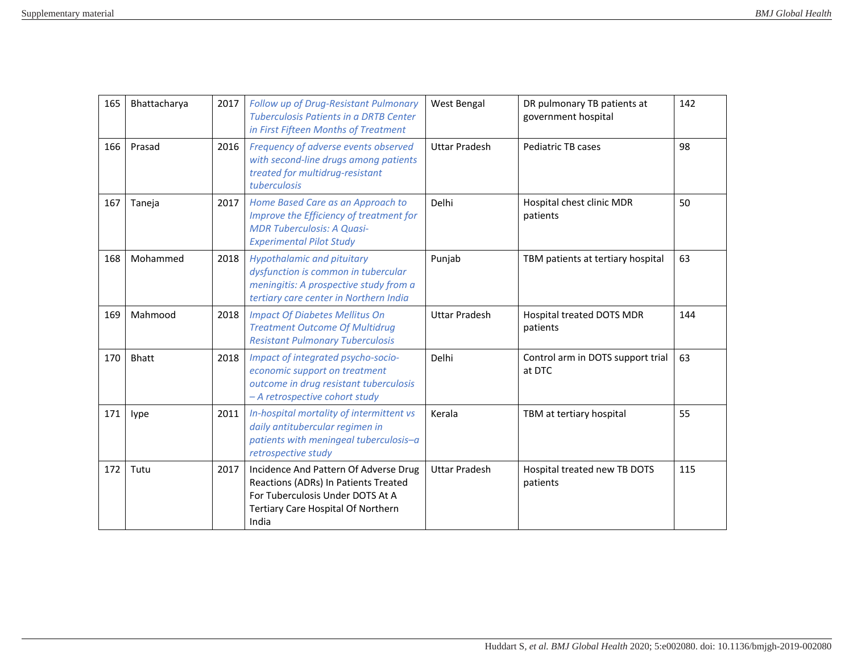| 165 | Bhattacharya | 2017 | Follow up of Drug-Resistant Pulmonary<br><b>Tuberculosis Patients in a DRTB Center</b><br>in First Fifteen Months of Treatment                                   | West Bengal          | DR pulmonary TB patients at<br>government hospital | 142 |
|-----|--------------|------|------------------------------------------------------------------------------------------------------------------------------------------------------------------|----------------------|----------------------------------------------------|-----|
| 166 | Prasad       | 2016 | Frequency of adverse events observed<br>with second-line drugs among patients<br>treated for multidrug-resistant<br>tuberculosis                                 | <b>Uttar Pradesh</b> | Pediatric TB cases                                 | 98  |
| 167 | Taneja       | 2017 | Home Based Care as an Approach to<br>Improve the Efficiency of treatment for<br><b>MDR Tuberculosis: A Quasi-</b><br><b>Experimental Pilot Study</b>             | Delhi                | Hospital chest clinic MDR<br>patients              | 50  |
| 168 | Mohammed     | 2018 | <b>Hypothalamic and pituitary</b><br>dysfunction is common in tubercular<br>meningitis: A prospective study from a<br>tertiary care center in Northern India     | Punjab               | TBM patients at tertiary hospital                  | 63  |
| 169 | Mahmood      | 2018 | <b>Impact Of Diabetes Mellitus On</b><br><b>Treatment Outcome Of Multidrug</b><br><b>Resistant Pulmonary Tuberculosis</b>                                        | <b>Uttar Pradesh</b> | Hospital treated DOTS MDR<br>patients              | 144 |
| 170 | <b>Bhatt</b> | 2018 | Impact of integrated psycho-socio-<br>economic support on treatment<br>outcome in drug resistant tuberculosis<br>- A retrospective cohort study                  | Delhi                | Control arm in DOTS support trial<br>at DTC        | 63  |
| 171 | lype         | 2011 | In-hospital mortality of intermittent vs<br>daily antitubercular regimen in<br>patients with meningeal tuberculosis-a<br>retrospective study                     | Kerala               | TBM at tertiary hospital                           | 55  |
| 172 | Tutu         | 2017 | Incidence And Pattern Of Adverse Drug<br>Reactions (ADRs) In Patients Treated<br>For Tuberculosis Under DOTS At A<br>Tertiary Care Hospital Of Northern<br>India | <b>Uttar Pradesh</b> | Hospital treated new TB DOTS<br>patients           | 115 |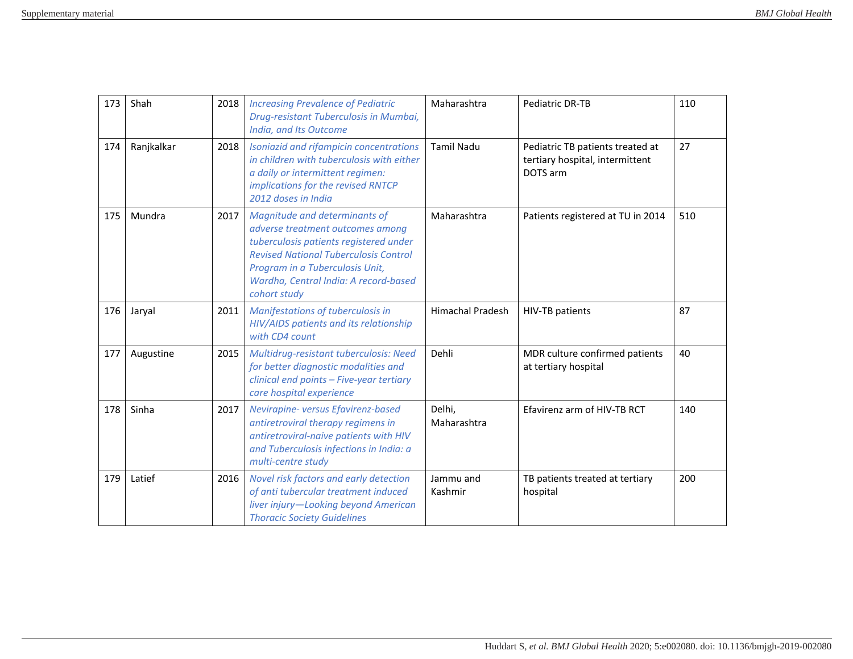| 173 | Shah       | 2018 | <b>Increasing Prevalence of Pediatric</b><br>Drug-resistant Tuberculosis in Mumbai,<br>India, and Its Outcome                                                                                                                                           | Maharashtra             | Pediatric DR-TB                                                                 | 110 |
|-----|------------|------|---------------------------------------------------------------------------------------------------------------------------------------------------------------------------------------------------------------------------------------------------------|-------------------------|---------------------------------------------------------------------------------|-----|
| 174 | Ranjkalkar | 2018 | Isoniazid and rifampicin concentrations<br>in children with tuberculosis with either<br>a daily or intermittent regimen:<br>implications for the revised RNTCP<br>2012 doses in India                                                                   | <b>Tamil Nadu</b>       | Pediatric TB patients treated at<br>tertiary hospital, intermittent<br>DOTS arm | 27  |
| 175 | Mundra     | 2017 | Magnitude and determinants of<br>adverse treatment outcomes among<br>tuberculosis patients registered under<br><b>Revised National Tuberculosis Control</b><br>Program in a Tuberculosis Unit,<br>Wardha, Central India: A record-based<br>cohort study | Maharashtra             | Patients registered at TU in 2014                                               | 510 |
| 176 | Jaryal     | 2011 | Manifestations of tuberculosis in<br>HIV/AIDS patients and its relationship<br>with CD4 count                                                                                                                                                           | <b>Himachal Pradesh</b> | HIV-TB patients                                                                 | 87  |
| 177 | Augustine  | 2015 | Multidrug-resistant tuberculosis: Need<br>for better diagnostic modalities and<br>clinical end points - Five-year tertiary<br>care hospital experience                                                                                                  | Dehli                   | MDR culture confirmed patients<br>at tertiary hospital                          | 40  |
| 178 | Sinha      | 2017 | Nevirapine- versus Efavirenz-based<br>antiretroviral therapy regimens in<br>antiretroviral-naive patients with HIV<br>and Tuberculosis infections in India: a<br>multi-centre study                                                                     | Delhi,<br>Maharashtra   | Efavirenz arm of HIV-TB RCT                                                     | 140 |
| 179 | Latief     | 2016 | Novel risk factors and early detection<br>of anti tubercular treatment induced<br>liver injury-Looking beyond American<br><b>Thoracic Society Guidelines</b>                                                                                            | Jammu and<br>Kashmir    | TB patients treated at tertiary<br>hospital                                     | 200 |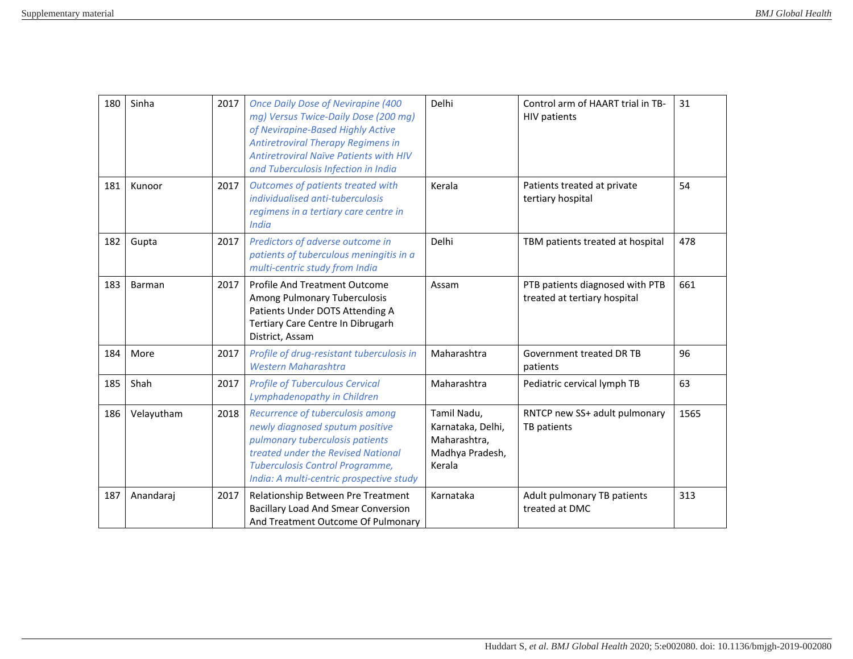| 180 | Sinha      | 2017 | <b>Once Daily Dose of Nevirapine (400</b><br>mg) Versus Twice-Daily Dose (200 mg)<br>of Nevirapine-Based Highly Active<br><b>Antiretroviral Therapy Regimens in</b><br><b>Antiretroviral Naïve Patients with HIV</b><br>and Tuberculosis Infection in India | Delhi                                                                         | Control arm of HAART trial in TB-<br><b>HIV patients</b>        | 31   |
|-----|------------|------|-------------------------------------------------------------------------------------------------------------------------------------------------------------------------------------------------------------------------------------------------------------|-------------------------------------------------------------------------------|-----------------------------------------------------------------|------|
| 181 | Kunoor     | 2017 | Outcomes of patients treated with<br>individualised anti-tuberculosis<br>regimens in a tertiary care centre in<br>India                                                                                                                                     | Kerala                                                                        | Patients treated at private<br>tertiary hospital                | 54   |
| 182 | Gupta      | 2017 | Predictors of adverse outcome in<br>patients of tuberculous meningitis in a<br>multi-centric study from India                                                                                                                                               | Delhi                                                                         | TBM patients treated at hospital                                | 478  |
| 183 | Barman     | 2017 | Profile And Treatment Outcome<br>Among Pulmonary Tuberculosis<br>Patients Under DOTS Attending A<br>Tertiary Care Centre In Dibrugarh<br>District, Assam                                                                                                    | Assam                                                                         | PTB patients diagnosed with PTB<br>treated at tertiary hospital | 661  |
| 184 | More       | 2017 | Profile of drug-resistant tuberculosis in<br><b>Western Maharashtra</b>                                                                                                                                                                                     | Maharashtra                                                                   | Government treated DR TB<br>patients                            | 96   |
| 185 | Shah       | 2017 | <b>Profile of Tuberculous Cervical</b><br>Lymphadenopathy in Children                                                                                                                                                                                       | Maharashtra                                                                   | Pediatric cervical lymph TB                                     | 63   |
| 186 | Velayutham | 2018 | Recurrence of tuberculosis among<br>newly diagnosed sputum positive<br>pulmonary tuberculosis patients<br>treated under the Revised National<br>Tuberculosis Control Programme,<br>India: A multi-centric prospective study                                 | Tamil Nadu,<br>Karnataka, Delhi,<br>Maharashtra,<br>Madhya Pradesh,<br>Kerala | RNTCP new SS+ adult pulmonary<br>TB patients                    | 1565 |
| 187 | Anandaraj  | 2017 | Relationship Between Pre Treatment<br><b>Bacillary Load And Smear Conversion</b><br>And Treatment Outcome Of Pulmonary                                                                                                                                      | Karnataka                                                                     | Adult pulmonary TB patients<br>treated at DMC                   | 313  |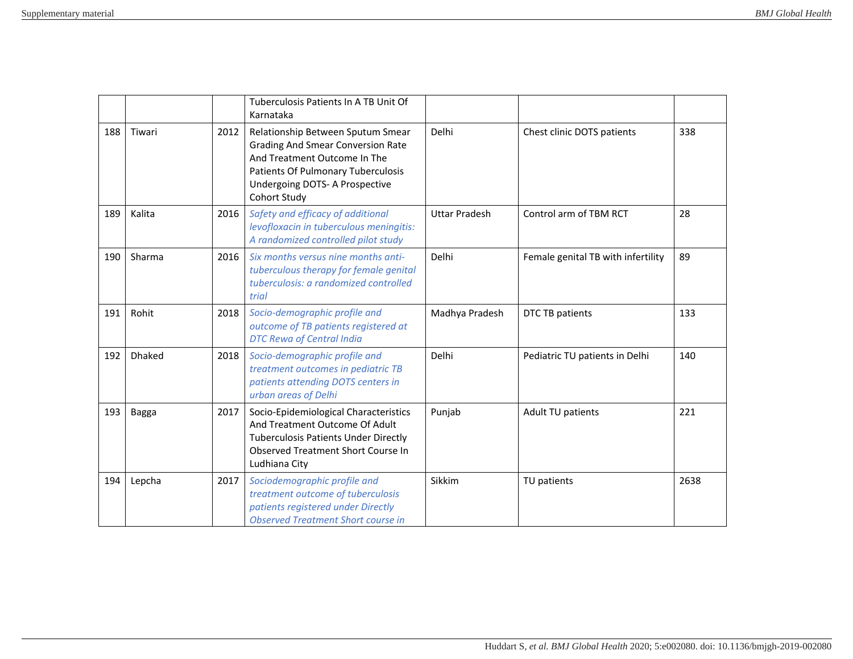|     |               |      | Tuberculosis Patients In A TB Unit Of<br>Karnataka                                                                                                                                                    |                      |                                    |      |
|-----|---------------|------|-------------------------------------------------------------------------------------------------------------------------------------------------------------------------------------------------------|----------------------|------------------------------------|------|
| 188 | Tiwari        | 2012 | Relationship Between Sputum Smear<br><b>Grading And Smear Conversion Rate</b><br>And Treatment Outcome In The<br>Patients Of Pulmonary Tuberculosis<br>Undergoing DOTS- A Prospective<br>Cohort Study | Delhi                | Chest clinic DOTS patients         | 338  |
| 189 | Kalita        | 2016 | Safety and efficacy of additional<br>levofloxacin in tuberculous meningitis:<br>A randomized controlled pilot study                                                                                   | <b>Uttar Pradesh</b> | Control arm of TBM RCT             | 28   |
| 190 | Sharma        | 2016 | Six months versus nine months anti-<br>tuberculous therapy for female genital<br>tuberculosis: a randomized controlled<br>trial                                                                       | Delhi                | Female genital TB with infertility | 89   |
| 191 | Rohit         | 2018 | Socio-demographic profile and<br>outcome of TB patients registered at<br><b>DTC Rewa of Central India</b>                                                                                             | Madhya Pradesh       | DTC TB patients                    | 133  |
| 192 | <b>Dhaked</b> | 2018 | Socio-demographic profile and<br>treatment outcomes in pediatric TB<br>patients attending DOTS centers in<br>urban areas of Delhi                                                                     | Delhi                | Pediatric TU patients in Delhi     | 140  |
| 193 | Bagga         | 2017 | Socio-Epidemiological Characteristics<br>And Treatment Outcome Of Adult<br><b>Tuberculosis Patients Under Directly</b><br>Observed Treatment Short Course In<br>Ludhiana City                         | Punjab               | Adult TU patients                  | 221  |
| 194 | Lepcha        | 2017 | Sociodemographic profile and<br>treatment outcome of tuberculosis<br>patients registered under Directly<br><b>Observed Treatment Short course in</b>                                                  | Sikkim               | TU patients                        | 2638 |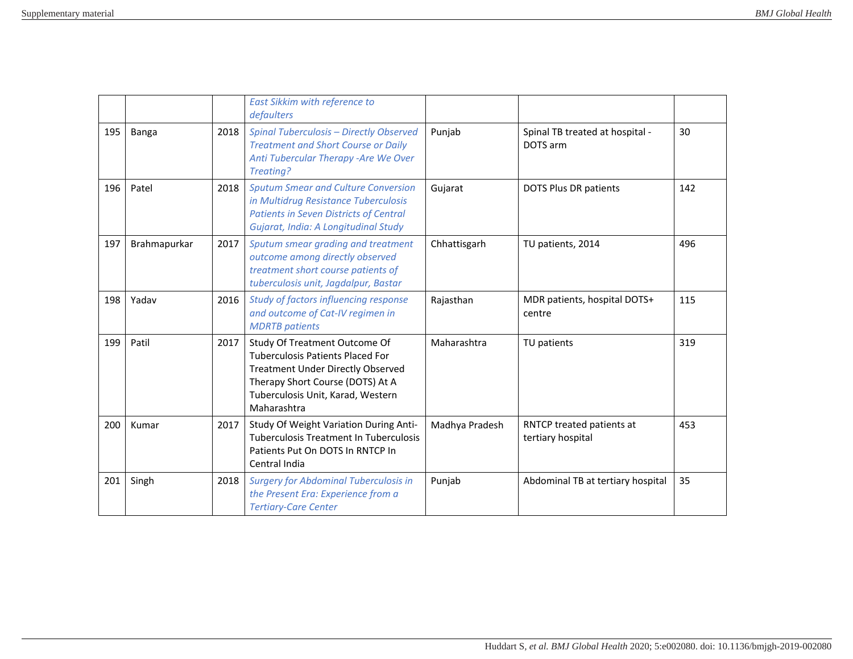|     |              |      | East Sikkim with reference to<br>defaulters                                                                                                                                                                  |                |                                                |     |
|-----|--------------|------|--------------------------------------------------------------------------------------------------------------------------------------------------------------------------------------------------------------|----------------|------------------------------------------------|-----|
| 195 | Banga        | 2018 | <b>Spinal Tuberculosis - Directly Observed</b><br><b>Treatment and Short Course or Daily</b><br>Anti Tubercular Therapy - Are We Over<br>Treating?                                                           | Punjab         | Spinal TB treated at hospital -<br>DOTS arm    | 30  |
| 196 | Patel        | 2018 | <b>Sputum Smear and Culture Conversion</b><br>in Multidrug Resistance Tuberculosis<br><b>Patients in Seven Districts of Central</b><br>Gujarat, India: A Longitudinal Study                                  | Gujarat        | <b>DOTS Plus DR patients</b>                   | 142 |
| 197 | Brahmapurkar | 2017 | Sputum smear grading and treatment<br>outcome among directly observed<br>treatment short course patients of<br>tuberculosis unit, Jagdalpur, Bastar                                                          | Chhattisgarh   | TU patients, 2014                              | 496 |
| 198 | Yadav        | 2016 | Study of factors influencing response<br>and outcome of Cat-IV regimen in<br><b>MDRTB</b> patients                                                                                                           | Rajasthan      | MDR patients, hospital DOTS+<br>centre         | 115 |
| 199 | Patil        | 2017 | Study Of Treatment Outcome Of<br><b>Tuberculosis Patients Placed For</b><br><b>Treatment Under Directly Observed</b><br>Therapy Short Course (DOTS) At A<br>Tuberculosis Unit, Karad, Western<br>Maharashtra | Maharashtra    | TU patients                                    | 319 |
| 200 | Kumar        | 2017 | Study Of Weight Variation During Anti-<br><b>Tuberculosis Treatment In Tuberculosis</b><br>Patients Put On DOTS In RNTCP In<br>Central India                                                                 | Madhya Pradesh | RNTCP treated patients at<br>tertiary hospital | 453 |
| 201 | Singh        | 2018 | <b>Surgery for Abdominal Tuberculosis in</b><br>the Present Era: Experience from a<br><b>Tertiary-Care Center</b>                                                                                            | Punjab         | Abdominal TB at tertiary hospital              | 35  |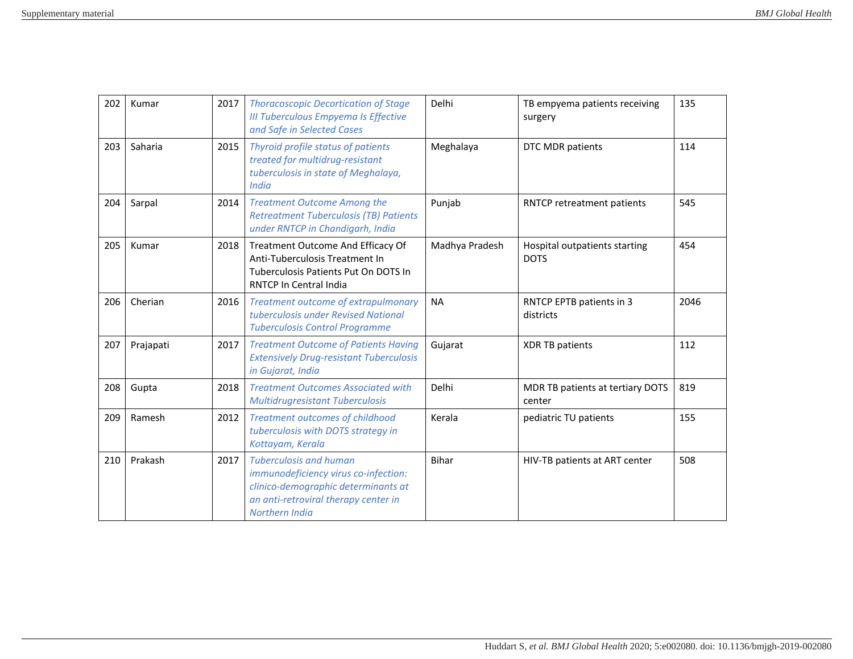| 202 | Kumar     | 2017 | <b>Thoracoscopic Decortication of Stage</b><br><b>III Tuberculous Empyema Is Effective</b><br>and Safe in Selected Cases                                               | Delhi          | TB empyema patients receiving<br>surgery     | 135  |
|-----|-----------|------|------------------------------------------------------------------------------------------------------------------------------------------------------------------------|----------------|----------------------------------------------|------|
| 203 | Saharia   | 2015 | Thyroid profile status of patients<br>treated for multidrug-resistant<br>tuberculosis in state of Meghalaya,<br><b>India</b>                                           | Meghalaya      | DTC MDR patients                             | 114  |
| 204 | Sarpal    | 2014 | <b>Treatment Outcome Among the</b><br><b>Retreatment Tuberculosis (TB) Patients</b><br>under RNTCP in Chandigarh, India                                                | Punjab         | RNTCP retreatment patients                   | 545  |
| 205 | Kumar     | 2018 | Treatment Outcome And Efficacy Of<br>Anti-Tuberculosis Treatment In<br>Tuberculosis Patients Put On DOTS In<br>RNTCP In Central India                                  | Madhya Pradesh | Hospital outpatients starting<br><b>DOTS</b> | 454  |
| 206 | Cherian   | 2016 | Treatment outcome of extrapulmonary<br>tuberculosis under Revised National<br><b>Tuberculosis Control Programme</b>                                                    | <b>NA</b>      | RNTCP EPTB patients in 3<br>districts        | 2046 |
| 207 | Prajapati | 2017 | <b>Treatment Outcome of Patients Having</b><br><b>Extensively Drug-resistant Tuberculosis</b><br>in Gujarat, India                                                     | Gujarat        | <b>XDR TB patients</b>                       | 112  |
| 208 | Gupta     | 2018 | <b>Treatment Outcomes Associated with</b><br><b>Multidrugresistant Tuberculosis</b>                                                                                    | Delhi          | MDR TB patients at tertiary DOTS<br>center   | 819  |
| 209 | Ramesh    | 2012 | <b>Treatment outcomes of childhood</b><br>tuberculosis with DOTS strategy in<br>Kottayam, Kerala                                                                       | Kerala         | pediatric TU patients                        | 155  |
| 210 | Prakash   | 2017 | <b>Tuberculosis and human</b><br>immunodeficiency virus co-infection:<br>clinico-demographic determinants at<br>an anti-retroviral therapy center in<br>Northern India | <b>Bihar</b>   | HIV-TB patients at ART center                | 508  |